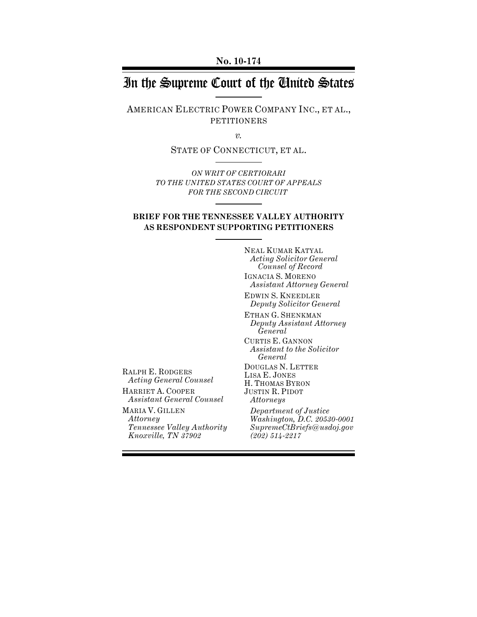**No. 10-174**

# In the Supreme Court of the United States

AMERICAN ELECTRIC POWER COMPANY INC., ET AL., PETITIONERS

*v.*

STATE OF CONNECTICUT, ET AL.

*ON WRIT OF CERTIORARI TO THE UNITED STATES COURT OF APPEALS FOR THE SECOND CIRCUIT* 

## **BRIEF FOR THE TENNESSEE VALLEY AUTHORITY AS RESPONDENT SUPPORTING PETITIONERS**

NEAL KUMAR KATYAL *Acting Solicitor General Counsel of Record* IGNACIA S. MORENO *Assistant Attorney General*

EDWIN S. KNEEDLER *Deputy Solicitor General*

ETHAN G. SHENKMAN *Deputy Assistant Attorney General*

CURTIS E. GANNON *Assistant to the Solicitor General*

JUSTIN R. PIDOT *Attorneys* 

RALPH E. RODGERS *Acting General Counsel*  DOUGLAS N. LETTER LISA E. JONES H. THOMAS BYRON

HARRIET A. COOPER *Assistant General Counsel*

MARIA V. GILLEN *Attorney Tennessee Valley Authority Knoxville, TN 37902*

*Department of Justice Washington, D.C. 20530-0001 SupremeCtBriefs@usdoj.gov (202) 514-2217*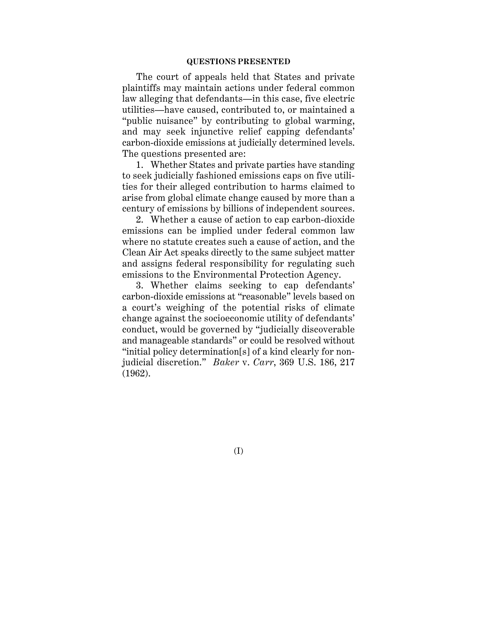#### **QUESTIONS PRESENTED**

The court of appeals held that States and private plaintiffs may maintain actions under federal common law alleging that defendants—in this case, five electric utilities—have caused, contributed to, or maintained a "public nuisance" by contributing to global warming, and may seek injunctive relief capping defendants' carbon-dioxide emissions at judicially determined levels. The questions presented are:

1. Whether States and private parties have standing to seek judicially fashioned emissions caps on five utilities for their alleged contribution to harms claimed to arise from global climate change caused by more than a century of emissions by billions of independent sources.

2. Whether a cause of action to cap carbon-dioxide emissions can be implied under federal common law where no statute creates such a cause of action, and the Clean Air Act speaks directly to the same subject matter and assigns federal responsibility for regulating such emissions to the Environmental Protection Agency.

3. Whether claims seeking to cap defendants' carbon-dioxide emissions at "reasonable" levels based on a court's weighing of the potential risks of climate change against the socioeconomic utility of defendants' conduct, would be governed by "judicially discoverable and manageable standards" or could be resolved without "initial policy determination[s] of a kind clearly for nonjudicial discretion." *Baker* v. *Carr*, 369 U.S. 186, 217 (1962).

(I)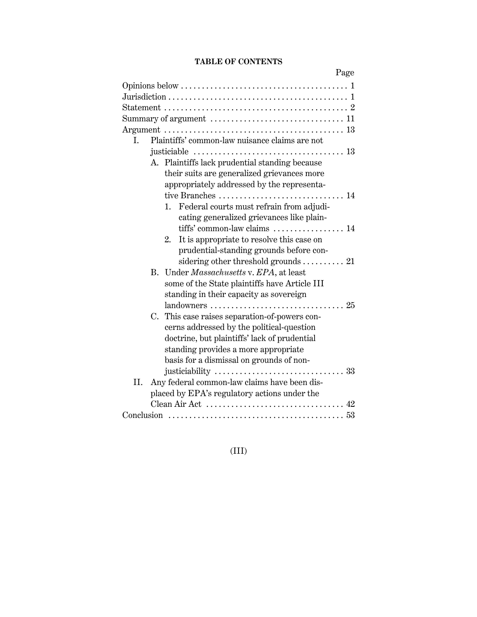# **TABLE OF CONTENTS**

|              | Page                                                                    |
|--------------|-------------------------------------------------------------------------|
|              |                                                                         |
|              |                                                                         |
|              |                                                                         |
|              |                                                                         |
|              |                                                                         |
| I.           | Plaintiffs' common-law nuisance claims are not                          |
|              |                                                                         |
|              | A. Plaintiffs lack prudential standing because                          |
|              | their suits are generalized grievances more                             |
|              | appropriately addressed by the representa-                              |
|              | tive Branches  14                                                       |
| $1_{\cdots}$ | Federal courts must refrain from adjudi-                                |
|              | cating generalized grievances like plain-                               |
|              | tiffs' common-law claims  14                                            |
| 2.           | It is appropriate to resolve this case on                               |
|              | prudential-standing grounds before con-                                 |
|              | sidering other threshold grounds $\ldots \ldots \ldots$ 21              |
| В.           | Under Massachusetts v. EPA, at least                                    |
|              | some of the State plaintiffs have Article III                           |
|              | standing in their capacity as sovereign                                 |
|              |                                                                         |
|              | C. This case raises separation-of-powers con-                           |
|              | cerns addressed by the political-question                               |
|              | doctrine, but plaintiffs' lack of prudential                            |
|              | standing provides a more appropriate                                    |
|              | basis for a dismissal on grounds of non-                                |
|              |                                                                         |
| II.          | Any federal common-law claims have been dis-                            |
|              | placed by EPA's regulatory actions under the                            |
|              | Clean Air Act $\dots\dots\dots\dots\dots\dots\dots\dots\dots\dots\dots$ |
|              |                                                                         |

# (III)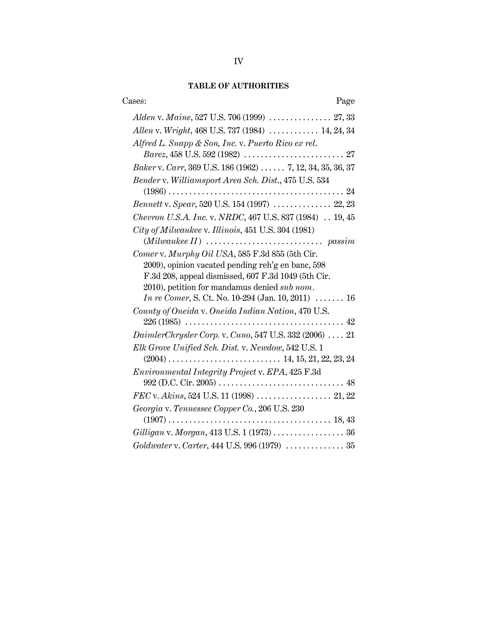# **TABLE OF AUTHORITIES**

| Cases:<br>Page                                                                                      |
|-----------------------------------------------------------------------------------------------------|
|                                                                                                     |
| Allen v. Wright, 468 U.S. 737 (1984)  14, 24, 34                                                    |
| Alfred L. Snapp & Son, Inc. v. Puerto Rico ex rel.                                                  |
|                                                                                                     |
| Baker v. Carr, 369 U.S. 186 (1962)  7, 12, 34, 35, 36, 37                                           |
| Bender v. Williamsport Area Sch. Dist., 475 U.S. 534                                                |
|                                                                                                     |
| Bennett v. Spear, 520 U.S. 154 (1997)  22, 23                                                       |
| Chevron U.S.A. Inc. v. NRDC, 467 U.S. 837 (1984)  19, 45                                            |
| City of Milwaukee v. Illinois, 451 U.S. 304 (1981)                                                  |
|                                                                                                     |
| Comer v. Murphy Oil USA, 585 F.3d 855 (5th Cir.                                                     |
| 2009), opinion vacated pending reh'g en banc, 598                                                   |
| F.3d 208, appeal dismissed, 607 F.3d 1049 (5th Cir.<br>2010), petition for mandamus denied sub nom. |
| <i>In re Comer</i> , S. Ct. No. 10-294 (Jan. 10, 2011) $\ldots \ldots$ 16                           |
| County of Oneida v. Oneida Indian Nation, 470 U.S.                                                  |
|                                                                                                     |
| DaimlerChrysler Corp. v. Cuno, 547 U.S. 332 (2006)  21                                              |
| Elk Grove Unified Sch. Dist. v. Newdow, 542 U.S. 1                                                  |
|                                                                                                     |
| Environmental Integrity Project v. EPA, 425 F.3d                                                    |
|                                                                                                     |
|                                                                                                     |
| Georgia v. Tennessee Copper Co., 206 U.S. 230                                                       |
|                                                                                                     |
|                                                                                                     |
| Goldwater v. Carter, 444 U.S. 996 (1979)  35                                                        |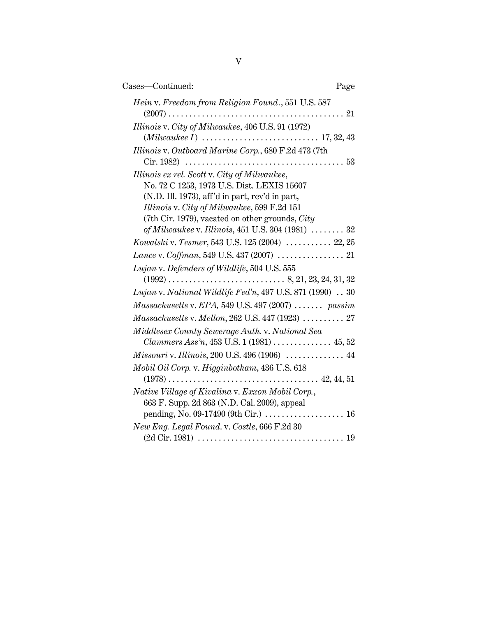| Cases-Continued:                                                                                                                                                                                                                                  | Page |
|---------------------------------------------------------------------------------------------------------------------------------------------------------------------------------------------------------------------------------------------------|------|
| Hein v. Freedom from Religion Found., 551 U.S. 587                                                                                                                                                                                                |      |
| Illinois v. City of Milwaukee, 406 U.S. 91 (1972)                                                                                                                                                                                                 |      |
| Illinois v. Outboard Marine Corp., 680 F.2d 473 (7th                                                                                                                                                                                              |      |
| Illinois ex rel. Scott v. City of Milwaukee,<br>No. 72 C 1253, 1973 U.S. Dist. LEXIS 15607<br>(N.D. Ill. 1973), aff'd in part, rev'd in part,<br>Illinois v. City of Milwaukee, 599 F.2d 151<br>(7th Cir. 1979), vacated on other grounds, $City$ |      |
| of Milwaukee v. Illinois, $451$ U.S. $304$ $(1981)$ $32$<br>Kowalski v. Tesmer, 543 U.S. 125 (2004)  22, 25                                                                                                                                       |      |
|                                                                                                                                                                                                                                                   |      |
| Lujan v. Defenders of Wildlife, 504 U.S. 555<br>Lujan v. National Wildlife Fed'n, 497 U.S. 871 (1990) 30                                                                                                                                          |      |
| $Massachusetts$ v. $EPA$ , 549 U.S. 497 (2007)  passim                                                                                                                                                                                            |      |
| $Massachusetts \, v. \, Mellon, 262 \, U.S. \, 447 \, (1923) \, \ldots \ldots \ldots \, 27$<br>Middlesex County Sewerage Auth. v. National Sea<br><i>Clammers Ass'n</i> , $453$ U.S. 1 (1981) 45, 52                                              |      |
| Missouri v. Illinois, 200 U.S. 496 (1906)  44                                                                                                                                                                                                     |      |
| Mobil Oil Corp. v. Higginbotham, 436 U.S. 618                                                                                                                                                                                                     |      |
| Native Village of Kivalina v. Exxon Mobil Corp.,<br>663 F. Supp. 2d 863 (N.D. Cal. 2009), appeal<br>pending, No. 09-17490 (9th Cir.) $\dots\dots\dots\dots\dots\dots$ 16                                                                          |      |
| New Eng. Legal Found. v. Costle, 666 F.2d 30                                                                                                                                                                                                      |      |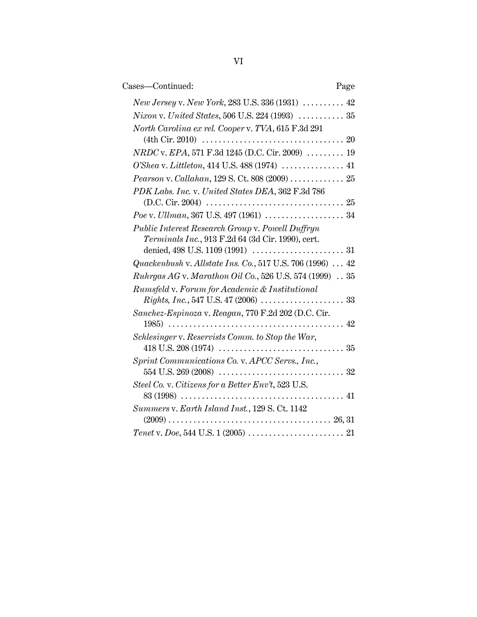| Cases-Continued:                                          | Page |
|-----------------------------------------------------------|------|
| New Jersey v. New York, 283 U.S. 336 (1931)  42           |      |
| Nixon v. United States, 506 U.S. 224 (1993)  35           |      |
| North Carolina ex rel. Cooper v. TVA, 615 F.3d 291        |      |
|                                                           |      |
| $NRDC$ v. $EPA$ , 571 F.3d 1245 (D.C. Cir. 2009)  19      |      |
| O'Shea v. Littleton, 414 U.S. 488 (1974)  41              |      |
| Pearson v. Callahan, 129 S. Ct. 808 (2009)  25            |      |
| PDK Labs. Inc. v. United States DEA, 362 F.3d 786         |      |
|                                                           |      |
|                                                           |      |
| Public Interest Research Group v. Powell Duffryn          |      |
| Terminals Inc., 913 F.2d 64 (3d Cir. 1990), cert.         |      |
|                                                           |      |
| Quackenbush v. Allstate Ins. Co., 517 U.S. 706 (1996)  42 |      |
| Ruhrgas AG v. Marathon Oil Co., 526 U.S. 574 (1999)  35   |      |
| Rumsfeld v. Forum for Academic & Institutional            |      |
|                                                           |      |
| Sanchez-Espinoza v. Reagan, 770 F.2d 202 (D.C. Cir.       |      |
|                                                           |      |
| Schlesinger v. Reservists Comm. to Stop the War,          |      |
| Sprint Communications Co. v. APCC Servs., Inc.,           |      |
|                                                           |      |
| Steel Co. v. Citizens for a Better Env't, 523 U.S.        |      |
|                                                           |      |
| Summers v. Earth Island Inst., 129 S. Ct. 1142            |      |
|                                                           |      |
|                                                           |      |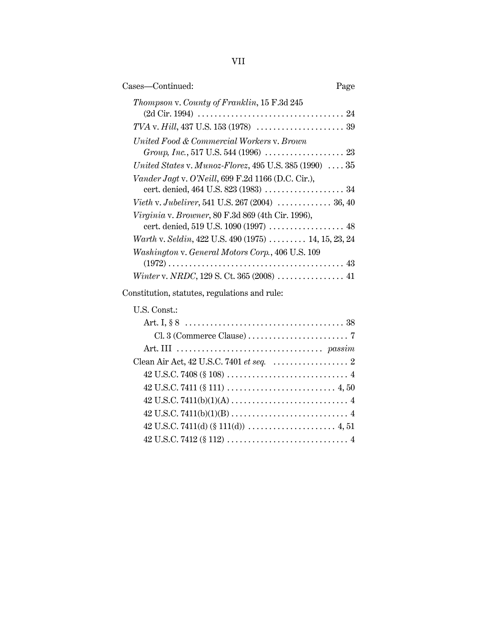VII

| Cases-Continued:                                                                            | Page |
|---------------------------------------------------------------------------------------------|------|
| Thompson v. County of Franklin, 15 F.3d 245                                                 |      |
|                                                                                             |      |
| United Food & Commercial Workers v. Brown                                                   |      |
| United States v. Munoz-Florez, $495$ U.S. $385$ (1990) $\ldots$ $35$                        |      |
| Vander Jagt v. O'Neill, 699 F.2d 1166 (D.C. Cir.),<br>cert. denied, 464 U.S. 823 (1983)  34 |      |
| <i>Vieth v. Jubelirer</i> , 541 U.S. 267 (2004) $\ldots \ldots \ldots \ldots 36, 40$        |      |
| Virginia v. Browner, 80 F.3d 869 (4th Cir. 1996),<br>cert. denied, 519 U.S. 1090 (1997)  48 |      |
| Warth v. Seldin, 422 U.S. 490 (1975) $\ldots \ldots \ldots$ 14, 15, 23, 24                  |      |
| Washington v. General Motors Corp., 406 U.S. 109                                            |      |
|                                                                                             |      |
| Constitution, statutes, regulations and rule:                                               |      |

# U.S. Const.:

| Clean Air Act, $42$ U.S.C. 7401 <i>et seq.</i> $\ldots$ $\ldots$ $\ldots$ $\ldots$ $\ldots$ $2$ |
|-------------------------------------------------------------------------------------------------|
|                                                                                                 |
|                                                                                                 |
|                                                                                                 |
|                                                                                                 |
|                                                                                                 |
|                                                                                                 |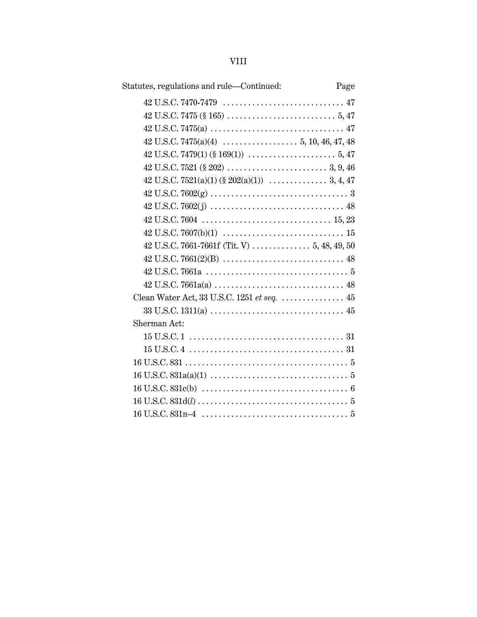| Statutes, regulations and rule—Continued:                                             | Page |
|---------------------------------------------------------------------------------------|------|
|                                                                                       |      |
|                                                                                       |      |
|                                                                                       |      |
| $42 \text{ U.S.C. } 7475(a)(4) \dots \dots \dots \dots \dots \dots 5, 10, 46, 47, 48$ |      |
|                                                                                       |      |
|                                                                                       |      |
|                                                                                       |      |
|                                                                                       |      |
|                                                                                       |      |
|                                                                                       |      |
|                                                                                       |      |
|                                                                                       |      |
|                                                                                       |      |
|                                                                                       |      |
|                                                                                       |      |
|                                                                                       |      |
|                                                                                       |      |
| Sherman Act:                                                                          |      |
|                                                                                       |      |
|                                                                                       |      |
|                                                                                       |      |
|                                                                                       |      |
|                                                                                       |      |
|                                                                                       |      |
|                                                                                       |      |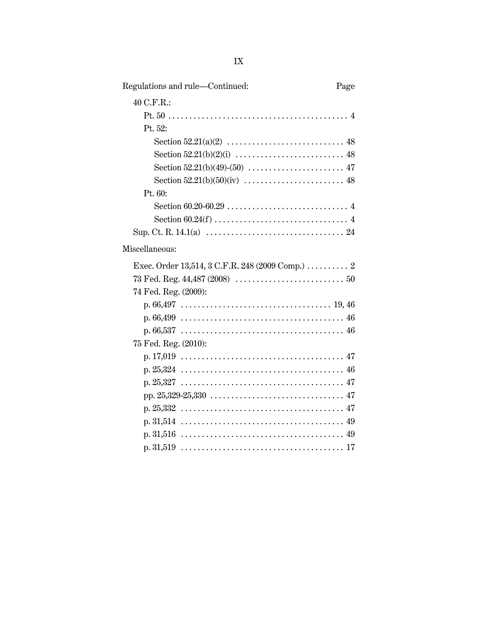| Regulations and rule-Continued:                  | Page |
|--------------------------------------------------|------|
| 40 C.F.R.:                                       |      |
|                                                  |      |
| Pt. 52:                                          |      |
|                                                  |      |
|                                                  |      |
|                                                  |      |
|                                                  |      |
| Pt. 60:                                          |      |
|                                                  |      |
|                                                  |      |
|                                                  |      |
| Miscellaneous:                                   |      |
| Exec. Order 13,514, 3 C.F.R. 248 (2009 Comp.)  2 |      |
|                                                  |      |
| 74 Fed. Reg. (2009):                             |      |
|                                                  |      |
|                                                  |      |
|                                                  |      |
| 75 Fed. Reg. (2010):                             |      |
|                                                  |      |
|                                                  |      |
|                                                  |      |
|                                                  |      |
|                                                  |      |
|                                                  |      |
|                                                  |      |
|                                                  |      |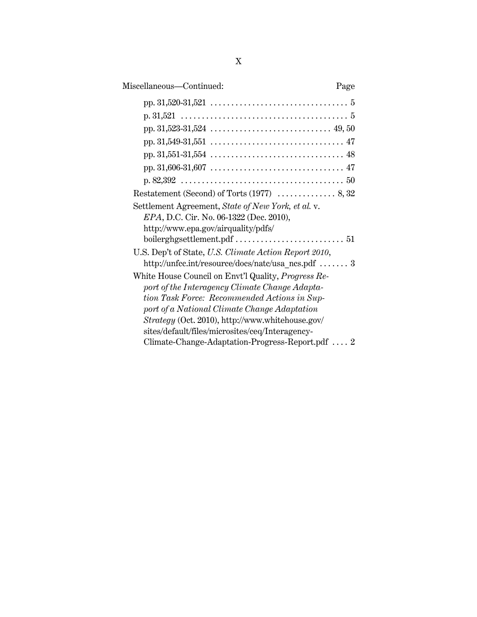| Miscellaneous-Continued:<br>Page                           |
|------------------------------------------------------------|
|                                                            |
|                                                            |
|                                                            |
|                                                            |
|                                                            |
|                                                            |
|                                                            |
|                                                            |
| Settlement Agreement, State of New York, et al. v.         |
| EPA, D.C. Cir. No. 06-1322 (Dec. 2010),                    |
| http://www.epa.gov/airquality/pdfs/                        |
|                                                            |
| U.S. Dep't of State, U.S. Climate Action Report 2010,      |
| http://unfcc.int/resource/docs/natc/usa_ncs.pdf  3         |
| White House Council on Envt'l Quality, <i>Progress Re-</i> |
| port of the Interagency Climate Change Adapta-             |
| tion Task Force: Recommended Actions in Sup-               |
| port of a National Climate Change Adaptation               |
| Strategy (Oct. 2010), http://www.whitehouse.gov/           |
| sites/default/files/microsites/ceq/Interagency-            |
| Climate-Change-Adaptation-Progress-Report.pdf $2$          |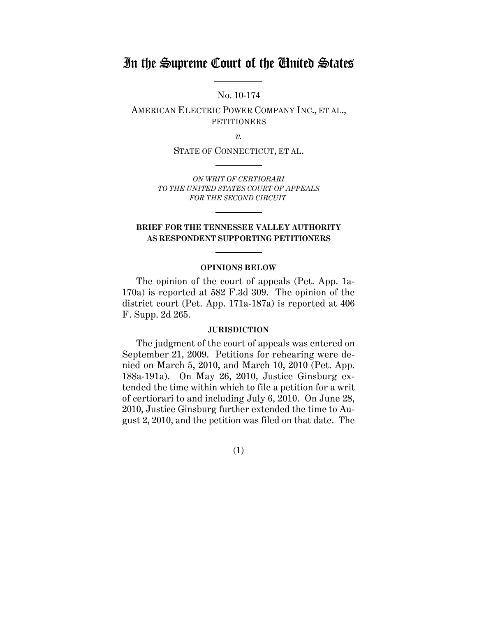# In the Supreme Court of the United States

No. 10-174

AMERICAN ELECTRIC POWER COMPANY INC., ET AL., PETITIONERS

*v.*

STATE OF CONNECTICUT, ET AL.

*ON WRIT OF CERTIORARI TO THE UNITED STATES COURT OF APPEALS FOR THE SECOND CIRCUIT* 

# **BRIEF FOR THE TENNESSEE VALLEY AUTHORITY AS RESPONDENT SUPPORTING PETITIONERS**

#### **OPINIONS BELOW**

The opinion of the court of appeals (Pet. App. 1a-170a) is reported at 582 F.3d 309. The opinion of the district court (Pet. App. 171a-187a) is reported at 406 F. Supp. 2d 265.

#### **JURISDICTION**

The judgment of the court of appeals was entered on September 21, 2009. Petitions for rehearing were denied on March 5, 2010, and March 10, 2010 (Pet. App. 188a-191a). On May 26, 2010, Justice Ginsburg extended the time within which to file a petition for a writ of certiorari to and including July 6, 2010. On June 28, 2010, Justice Ginsburg further extended the time to August 2, 2010, and the petition was filed on that date. The

(1)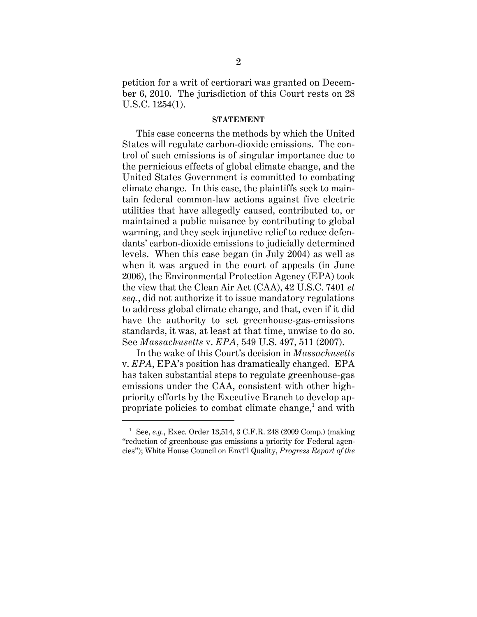petition for a writ of certiorari was granted on December 6, 2010. The jurisdiction of this Court rests on 28 U.S.C. 1254(1).

#### **STATEMENT**

This case concerns the methods by which the United States will regulate carbon-dioxide emissions. The control of such emissions is of singular importance due to the pernicious effects of global climate change, and the United States Government is committed to combating climate change. In this case, the plaintiffs seek to maintain federal common-law actions against five electric utilities that have allegedly caused, contributed to, or maintained a public nuisance by contributing to global warming, and they seek injunctive relief to reduce defendants' carbon-dioxide emissions to judicially determined levels. When this case began (in July 2004) as well as when it was argued in the court of appeals (in June 2006), the Environmental Protection Agency (EPA) took the view that the Clean Air Act (CAA), 42 U.S.C. 7401 *et seq.*, did not authorize it to issue mandatory regulations to address global climate change, and that, even if it did have the authority to set greenhouse-gas-emissions standards, it was, at least at that time, unwise to do so. See *Massachusetts* v. *EPA*, 549 U.S. 497, 511 (2007).

In the wake of this Court's decision in *Massachusetts* v. *EPA*, EPA's position has dramatically changed. EPA has taken substantial steps to regulate greenhouse-gas emissions under the CAA, consistent with other highpriority efforts by the Executive Branch to develop appropriate policies to combat climate change,<sup>1</sup> and with

<sup>1</sup> See, *e.g.*, Exec. Order 13,514, 3 C.F.R. 248 (2009 Comp.) (making "reduction of greenhouse gas emissions a priority for Federal agencies"); White House Council on Envt'l Quality, *Progress Report of the*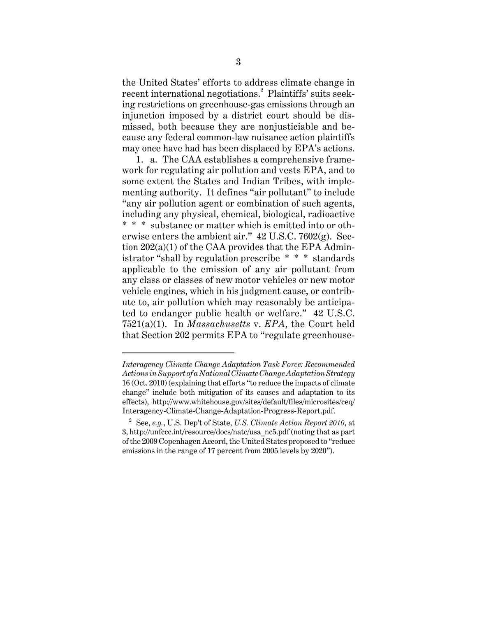the United States' efforts to address climate change in recent international negotiations.<sup>2</sup> Plaintiffs' suits seeking restrictions on greenhouse-gas emissions through an injunction imposed by a district court should be dismissed, both because they are nonjusticiable and because any federal common-law nuisance action plaintiffs may once have had has been displaced by EPA's actions.

1. a. The CAA establishes a comprehensive framework for regulating air pollution and vests EPA, and to some extent the States and Indian Tribes, with implementing authority. It defines "air pollutant" to include "any air pollution agent or combination of such agents, including any physical, chemical, biological, radioactive \* \* \* substance or matter which is emitted into or otherwise enters the ambient air."  $42 \text{ U.S.C. } 7602(\text{g})$ . Section 202(a)(1) of the CAA provides that the EPA Administrator "shall by regulation prescribe \* \* \* standards applicable to the emission of any air pollutant from any class or classes of new motor vehicles or new motor vehicle engines, which in his judgment cause, or contribute to, air pollution which may reasonably be anticipated to endanger public health or welfare." 42 U.S.C. 7521(a)(1). In *Massachusetts* v. *EPA*, the Court held that Section 202 permits EPA to "regulate greenhouse-

*Interagency Climate Change Adaptation Task Force: Recommended Actions in Support of a National Climate Change Adaptation Strategy* 16 (Oct. 2010) (explaining that efforts "to reduce the impacts of climate change" include both mitigation of its causes and adaptation to its effects), http://www.whitehouse.gov/sites/default/files/microsites/ceq/ Interagency-Climate-Change-Adaptation-Progress-Report.pdf.

<sup>2</sup> See, *e.g.*, U.S. Dep't of State, *U.S. Climate Action Report 2010*, at 3, http://unfccc.int/resource/docs/natc/usa\_nc5.pdf (noting that as part of the 2009 Copenhagen Accord, the United States proposed to "reduce emissions in the range of 17 percent from 2005 levels by 2020").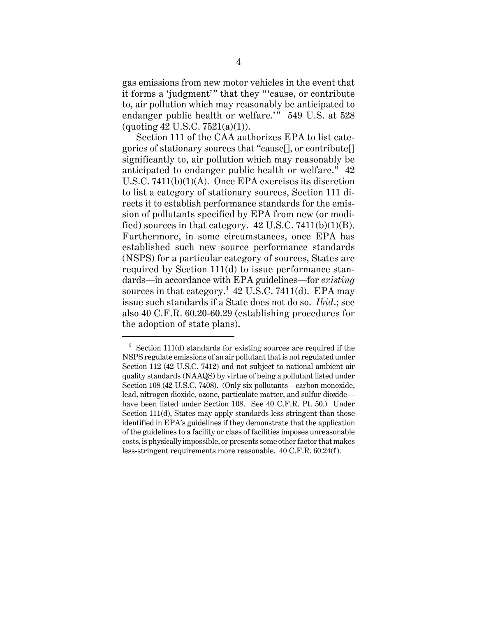gas emissions from new motor vehicles in the event that it forms a 'judgment'" that they "'cause, or contribute to, air pollution which may reasonably be anticipated to endanger public health or welfare.'" 549 U.S. at 528  $($ quoting 42 U.S.C. 7521 $(a)(1)$ ).

Section 111 of the CAA authorizes EPA to list categories of stationary sources that "cause[], or contribute[] significantly to, air pollution which may reasonably be anticipated to endanger public health or welfare." 42 U.S.C. 7411(b)(1)(A). Once EPA exercises its discretion to list a category of stationary sources, Section 111 directs it to establish performance standards for the emission of pollutants specified by EPA from new (or modified) sources in that category.  $42 \text{ U.S.C. } 7411(b)(1)(B)$ . Furthermore, in some circumstances, once EPA has established such new source performance standards (NSPS) for a particular category of sources, States are required by Section 111(d) to issue performance standards—in accordance with EPA guidelines—for *existing* sources in that category.<sup>3</sup> 42 U.S.C. 7411(d). EPA may issue such standards if a State does not do so. *Ibid*.; see also 40 C.F.R. 60.20-60.29 (establishing procedures for the adoption of state plans).

 $3$  Section 111(d) standards for existing sources are required if the NSPS regulate emissions of an air pollutant that is not regulated under Section 112 (42 U.S.C. 7412) and not subject to national ambient air quality standards (NAAQS) by virtue of being a pollutant listed under Section 108 (42 U.S.C. 7408). (Only six pollutants—carbon monoxide, lead, nitrogen dioxide, ozone, particulate matter, and sulfur dioxide have been listed under Section 108. See 40 C.F.R. Pt. 50.) Under Section 111(d), States may apply standards less stringent than those identified in EPA's guidelines if they demonstrate that the application of the guidelines to a facility or class of facilities imposes unreasonable costs, is physically impossible, or presents some other factor that makes less-stringent requirements more reasonable. 40 C.F.R. 60.24(f).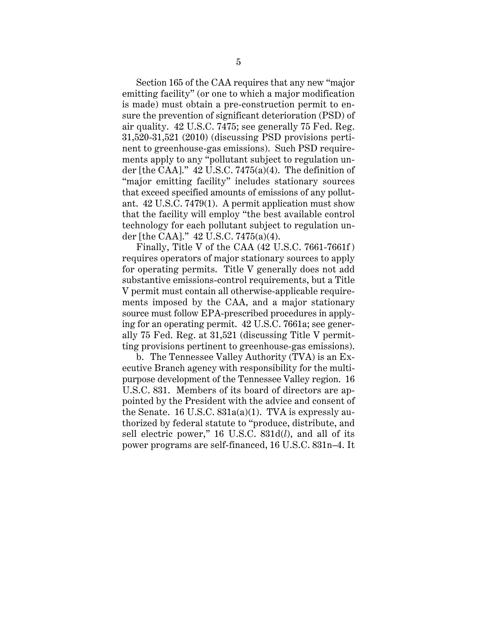Section 165 of the CAA requires that any new "major emitting facility" (or one to which a major modification is made) must obtain a pre-construction permit to ensure the prevention of significant deterioration (PSD) of air quality. 42 U.S.C. 7475; see generally 75 Fed. Reg. 31,520-31,521 (2010) (discussing PSD provisions pertinent to greenhouse-gas emissions). Such PSD requirements apply to any "pollutant subject to regulation under [the CAA]."  $42$  U.S.C. 7475(a)(4). The definition of "major emitting facility" includes stationary sources that exceed specified amounts of emissions of any pollutant. 42 U.S.C. 7479(1). A permit application must show that the facility will employ "the best available control technology for each pollutant subject to regulation under [the CAA]." 42 U.S.C. 7475(a)(4).

Finally, Title V of the CAA (42 U.S.C. 7661-7661f ) requires operators of major stationary sources to apply for operating permits. Title V generally does not add substantive emissions-control requirements, but a Title V permit must contain all otherwise-applicable requirements imposed by the CAA, and a major stationary source must follow EPA-prescribed procedures in applying for an operating permit. 42 U.S.C. 7661a; see generally 75 Fed. Reg. at 31,521 (discussing Title V permitting provisions pertinent to greenhouse-gas emissions).

b. The Tennessee Valley Authority (TVA) is an Executive Branch agency with responsibility for the multipurpose development of the Tennessee Valley region. 16 U.S.C. 831. Members of its board of directors are appointed by the President with the advice and consent of the Senate. 16 U.S.C.  $831a(a)(1)$ . TVA is expressly authorized by federal statute to "produce, distribute, and sell electric power," 16 U.S.C. 831d(*l*), and all of its power programs are self-financed, 16 U.S.C. 831n–4. It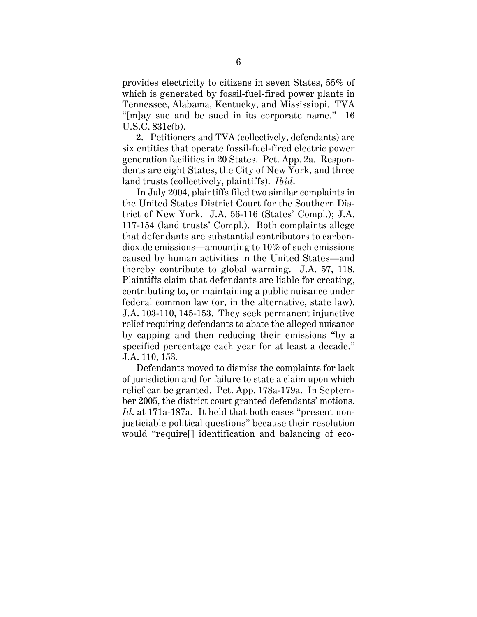provides electricity to citizens in seven States, 55% of which is generated by fossil-fuel-fired power plants in Tennessee, Alabama, Kentucky, and Mississippi. TVA "[m]ay sue and be sued in its corporate name." 16 U.S.C. 831c(b).

2. Petitioners and TVA (collectively, defendants) are six entities that operate fossil-fuel-fired electric power generation facilities in 20 States. Pet. App. 2a. Respondents are eight States, the City of New York, and three land trusts (collectively, plaintiffs). *Ibid*.

In July 2004, plaintiffs filed two similar complaints in the United States District Court for the Southern District of New York. J.A. 56-116 (States' Compl.); J.A. 117-154 (land trusts' Compl.). Both complaints allege that defendants are substantial contributors to carbondioxide emissions—amounting to 10% of such emissions caused by human activities in the United States—and thereby contribute to global warming. J.A. 57, 118. Plaintiffs claim that defendants are liable for creating, contributing to, or maintaining a public nuisance under federal common law (or, in the alternative, state law). J.A. 103-110, 145-153. They seek permanent injunctive relief requiring defendants to abate the alleged nuisance by capping and then reducing their emissions "by a specified percentage each year for at least a decade." J.A. 110, 153.

Defendants moved to dismiss the complaints for lack of jurisdiction and for failure to state a claim upon which relief can be granted. Pet. App. 178a-179a. In September 2005, the district court granted defendants' motions. *Id*. at 171a-187a. It held that both cases "present nonjusticiable political questions" because their resolution would "require[] identification and balancing of eco-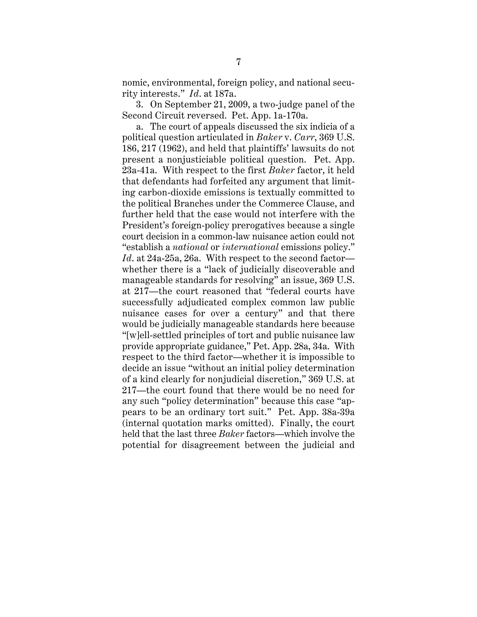nomic, environmental, foreign policy, and national security interests." *Id*. at 187a.

3. On September 21, 2009, a two-judge panel of the Second Circuit reversed. Pet. App. 1a-170a.

a. The court of appeals discussed the six indicia of a political question articulated in *Baker* v. *Carr*, 369 U.S. 186, 217 (1962), and held that plaintiffs' lawsuits do not present a nonjusticiable political question. Pet. App. 23a-41a. With respect to the first *Baker* factor, it held that defendants had forfeited any argument that limiting carbon-dioxide emissions is textually committed to the political Branches under the Commerce Clause, and further held that the case would not interfere with the President's foreign-policy prerogatives because a single court decision in a common-law nuisance action could not "establish a *national* or *international* emissions policy." *Id*. at 24a-25a, 26a. With respect to the second factor whether there is a "lack of judicially discoverable and manageable standards for resolving" an issue, 369 U.S. at 217—the court reasoned that "federal courts have successfully adjudicated complex common law public nuisance cases for over a century" and that there would be judicially manageable standards here because "[w]ell-settled principles of tort and public nuisance law provide appropriate guidance," Pet. App. 28a, 34a. With respect to the third factor—whether it is impossible to decide an issue "without an initial policy determination of a kind clearly for nonjudicial discretion," 369 U.S. at 217—the court found that there would be no need for any such "policy determination" because this case "appears to be an ordinary tort suit." Pet. App. 38a-39a (internal quotation marks omitted). Finally, the court held that the last three *Baker* factors—which involve the potential for disagreement between the judicial and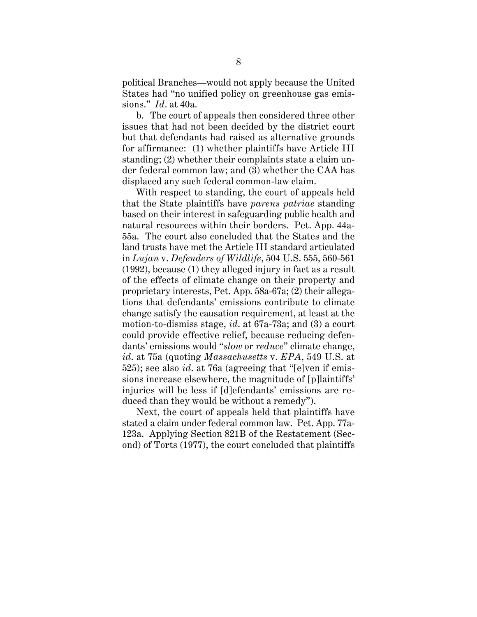political Branches—would not apply because the United States had "no unified policy on greenhouse gas emissions." *Id*. at 40a.

b. The court of appeals then considered three other issues that had not been decided by the district court but that defendants had raised as alternative grounds for affirmance: (1) whether plaintiffs have Article III standing; (2) whether their complaints state a claim under federal common law; and (3) whether the CAA has displaced any such federal common-law claim.

With respect to standing, the court of appeals held that the State plaintiffs have *parens patriae* standing based on their interest in safeguarding public health and natural resources within their borders. Pet. App. 44a-55a. The court also concluded that the States and the land trusts have met the Article III standard articulated in *Lujan* v. *Defenders of Wildlife*, 504 U.S. 555, 560-561 (1992), because (1) they alleged injury in fact as a result of the effects of climate change on their property and proprietary interests, Pet. App. 58a-67a; (2) their allegations that defendants' emissions contribute to climate change satisfy the causation requirement, at least at the motion-to-dismiss stage, *id*. at 67a-73a; and (3) a court could provide effective relief, because reducing defendants' emissions would "*slow* or *reduce*" climate change, *id*. at 75a (quoting *Massachusetts* v. *EPA*, 549 U.S. at 525); see also *id*. at 76a (agreeing that "[e]ven if emissions increase elsewhere, the magnitude of [p]laintiffs' injuries will be less if [d]efendants' emissions are reduced than they would be without a remedy").

Next, the court of appeals held that plaintiffs have stated a claim under federal common law. Pet. App. 77a-123a. Applying Section 821B of the Restatement (Second) of Torts (1977), the court concluded that plaintiffs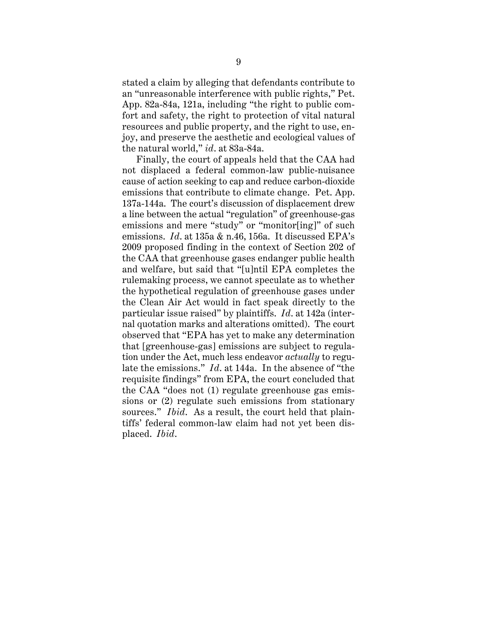stated a claim by alleging that defendants contribute to an "unreasonable interference with public rights," Pet. App. 82a-84a, 121a, including "the right to public comfort and safety, the right to protection of vital natural resources and public property, and the right to use, enjoy, and preserve the aesthetic and ecological values of the natural world," *id*. at 83a-84a.

Finally, the court of appeals held that the CAA had not displaced a federal common-law public-nuisance cause of action seeking to cap and reduce carbon-dioxide emissions that contribute to climate change. Pet. App. 137a-144a. The court's discussion of displacement drew a line between the actual "regulation" of greenhouse-gas emissions and mere "study" or "monitor[ing]" of such emissions. *Id*. at 135a & n.46, 156a. It discussed EPA's 2009 proposed finding in the context of Section 202 of the CAA that greenhouse gases endanger public health and welfare, but said that "[u]ntil EPA completes the rulemaking process, we cannot speculate as to whether the hypothetical regulation of greenhouse gases under the Clean Air Act would in fact speak directly to the particular issue raised" by plaintiffs. *Id*. at 142a (internal quotation marks and alterations omitted). The court observed that "EPA has yet to make any determination that [greenhouse-gas] emissions are subject to regulation under the Act, much less endeavor *actually* to regulate the emissions." *Id*. at 144a. In the absence of "the requisite findings" from EPA, the court concluded that the CAA "does not (1) regulate greenhouse gas emissions or (2) regulate such emissions from stationary sources." *Ibid*. As a result, the court held that plaintiffs' federal common-law claim had not yet been displaced. *Ibid*.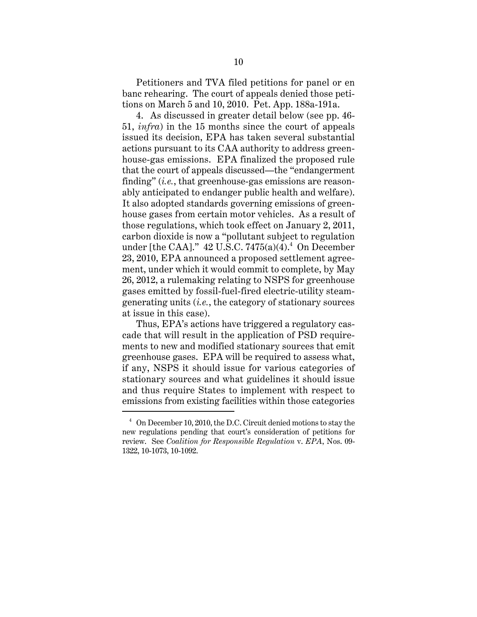Petitioners and TVA filed petitions for panel or en banc rehearing. The court of appeals denied those petitions on March 5 and 10, 2010. Pet. App. 188a-191a.

4. As discussed in greater detail below (see pp. 46- 51, *infra*) in the 15 months since the court of appeals issued its decision, EPA has taken several substantial actions pursuant to its CAA authority to address greenhouse-gas emissions. EPA finalized the proposed rule that the court of appeals discussed—the "endangerment finding" (*i.e.*, that greenhouse-gas emissions are reasonably anticipated to endanger public health and welfare). It also adopted standards governing emissions of greenhouse gases from certain motor vehicles. As a result of those regulations, which took effect on January 2, 2011, carbon dioxide is now a "pollutant subject to regulation under [the CAA]."  $42$  U.S.C. 7475(a)(4). $^4$  On December 23, 2010, EPA announced a proposed settlement agreement, under which it would commit to complete, by May 26, 2012, a rulemaking relating to NSPS for greenhouse gases emitted by fossil-fuel-fired electric-utility steamgenerating units (*i.e.*, the category of stationary sources at issue in this case).

Thus, EPA's actions have triggered a regulatory cascade that will result in the application of PSD requirements to new and modified stationary sources that emit greenhouse gases. EPA will be required to assess what, if any, NSPS it should issue for various categories of stationary sources and what guidelines it should issue and thus require States to implement with respect to emissions from existing facilities within those categories

 $4$  On December 10, 2010, the D.C. Circuit denied motions to stay the new regulations pending that court's consideration of petitions for review. See *Coalition for Responsible Regulation* v. *EPA*, Nos. 09- 1322, 10-1073, 10-1092.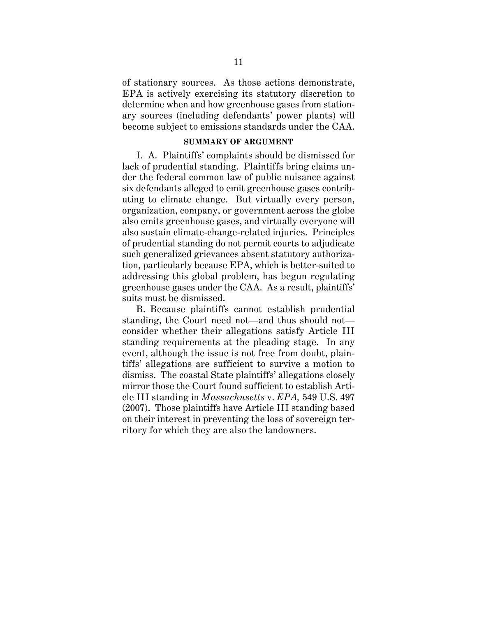of stationary sources. As those actions demonstrate, EPA is actively exercising its statutory discretion to determine when and how greenhouse gases from stationary sources (including defendants' power plants) will become subject to emissions standards under the CAA.

## **SUMMARY OF ARGUMENT**

I. A. Plaintiffs' complaints should be dismissed for lack of prudential standing. Plaintiffs bring claims under the federal common law of public nuisance against six defendants alleged to emit greenhouse gases contributing to climate change. But virtually every person, organization, company, or government across the globe also emits greenhouse gases, and virtually everyone will also sustain climate-change-related injuries. Principles of prudential standing do not permit courts to adjudicate such generalized grievances absent statutory authorization, particularly because EPA, which is better-suited to addressing this global problem, has begun regulating greenhouse gases under the CAA. As a result, plaintiffs' suits must be dismissed.

B. Because plaintiffs cannot establish prudential standing, the Court need not—and thus should not consider whether their allegations satisfy Article III standing requirements at the pleading stage. In any event, although the issue is not free from doubt, plaintiffs' allegations are sufficient to survive a motion to dismiss. The coastal State plaintiffs' allegations closely mirror those the Court found sufficient to establish Article III standing in *Massachusetts* v. *EPA,* 549 U.S. 497 (2007). Those plaintiffs have Article III standing based on their interest in preventing the loss of sovereign territory for which they are also the landowners.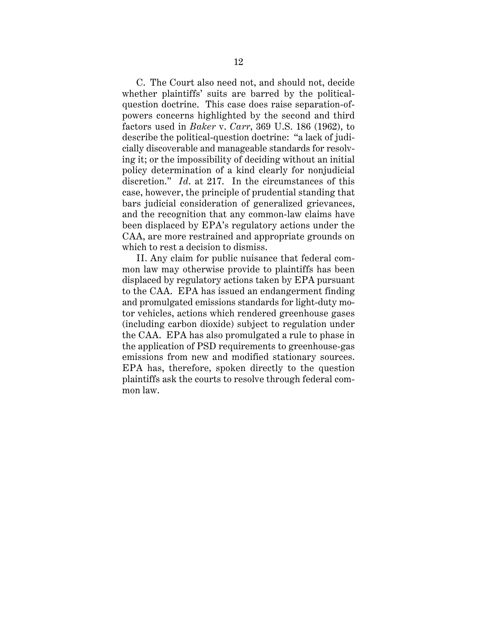C. The Court also need not, and should not, decide whether plaintiffs' suits are barred by the politicalquestion doctrine. This case does raise separation-ofpowers concerns highlighted by the second and third factors used in *Baker* v. *Carr*, 369 U.S. 186 (1962), to describe the political-question doctrine: "a lack of judicially discoverable and manageable standards for resolving it; or the impossibility of deciding without an initial policy determination of a kind clearly for nonjudicial discretion." *Id*. at 217. In the circumstances of this case, however, the principle of prudential standing that bars judicial consideration of generalized grievances, and the recognition that any common-law claims have been displaced by EPA's regulatory actions under the CAA, are more restrained and appropriate grounds on which to rest a decision to dismiss.

II. Any claim for public nuisance that federal common law may otherwise provide to plaintiffs has been displaced by regulatory actions taken by EPA pursuant to the CAA. EPA has issued an endangerment finding and promulgated emissions standards for light-duty motor vehicles, actions which rendered greenhouse gases (including carbon dioxide) subject to regulation under the CAA. EPA has also promulgated a rule to phase in the application of PSD requirements to greenhouse-gas emissions from new and modified stationary sources. EPA has, therefore, spoken directly to the question plaintiffs ask the courts to resolve through federal common law.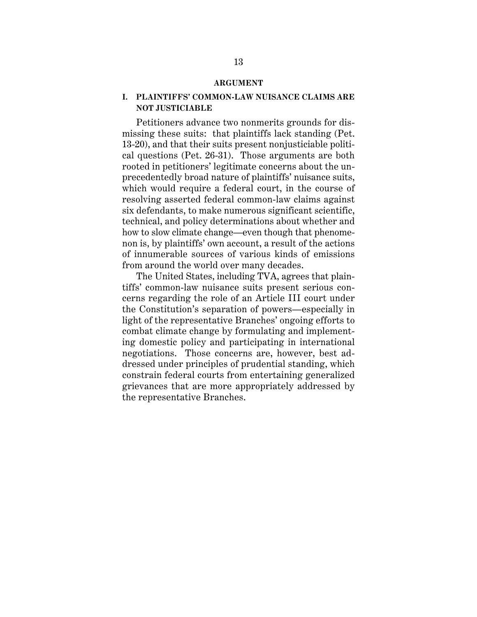#### **ARGUMENT**

## **I. PLAINTIFFS' COMMON-LAW NUISANCE CLAIMS ARE NOT JUSTICIABLE**

Petitioners advance two nonmerits grounds for dismissing these suits: that plaintiffs lack standing (Pet. 13-20), and that their suits present nonjusticiable political questions (Pet. 26-31). Those arguments are both rooted in petitioners' legitimate concerns about the unprecedentedly broad nature of plaintiffs' nuisance suits, which would require a federal court, in the course of resolving asserted federal common-law claims against six defendants, to make numerous significant scientific, technical, and policy determinations about whether and how to slow climate change—even though that phenomenon is, by plaintiffs' own account, a result of the actions of innumerable sources of various kinds of emissions from around the world over many decades.

The United States, including TVA, agrees that plaintiffs' common-law nuisance suits present serious concerns regarding the role of an Article III court under the Constitution's separation of powers—especially in light of the representative Branches' ongoing efforts to combat climate change by formulating and implementing domestic policy and participating in international negotiations. Those concerns are, however, best addressed under principles of prudential standing, which constrain federal courts from entertaining generalized grievances that are more appropriately addressed by the representative Branches.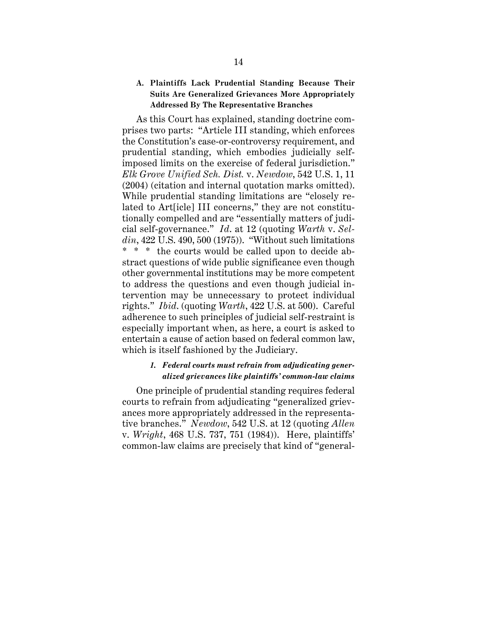## **A. Plaintiffs Lack Prudential Standing Because Their Suits Are Generalized Grievances More Appropriately Addressed By The Representative Branches**

As this Court has explained, standing doctrine comprises two parts: "Article III standing, which enforces the Constitution's case-or-controversy requirement, and prudential standing, which embodies judicially selfimposed limits on the exercise of federal jurisdiction." *Elk Grove Unified Sch. Dist.* v. *Newdow*, 542 U.S. 1, 11 (2004) (citation and internal quotation marks omitted). While prudential standing limitations are "closely related to Art[icle] III concerns," they are not constitutionally compelled and are "essentially matters of judicial self-governance." *Id*. at 12 (quoting *Warth* v. *Seldin*, 422 U.S. 490, 500 (1975)). "Without such limitations \* \* \* the courts would be called upon to decide abstract questions of wide public significance even though other governmental institutions may be more competent to address the questions and even though judicial intervention may be unnecessary to protect individual rights." *Ibid*. (quoting *Warth*, 422 U.S. at 500). Careful adherence to such principles of judicial self-restraint is especially important when, as here, a court is asked to entertain a cause of action based on federal common law, which is itself fashioned by the Judiciary.

# *1. Federal courts must refrain from adjudicating generalized grievances like plaintiffs' common-law claims*

One principle of prudential standing requires federal courts to refrain from adjudicating "generalized grievances more appropriately addressed in the representative branches." *Newdow*, 542 U.S. at 12 (quoting *Allen* v. *Wright*, 468 U.S. 737, 751 (1984)). Here, plaintiffs' common-law claims are precisely that kind of "general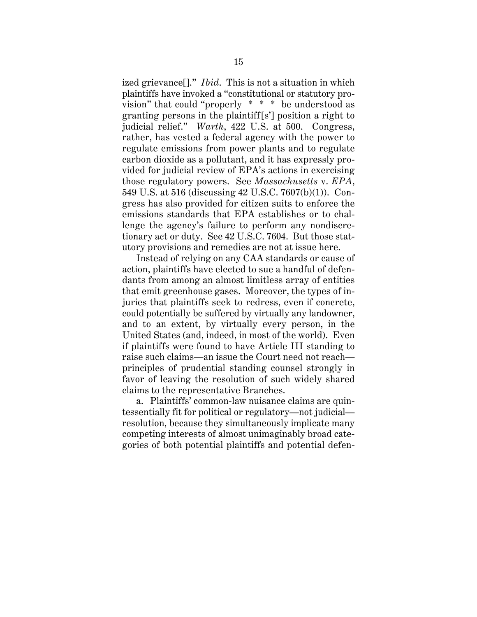ized grievance[]." *Ibid*. This is not a situation in which plaintiffs have invoked a "constitutional or statutory provision" that could "properly \* \* \* be understood as granting persons in the plaintiff[s'] position a right to judicial relief." *Warth*, 422 U.S. at 500. Congress, rather, has vested a federal agency with the power to regulate emissions from power plants and to regulate carbon dioxide as a pollutant, and it has expressly provided for judicial review of EPA's actions in exercising those regulatory powers. See *Massachusetts* v. *EPA*, 549 U.S. at 516 (discussing 42 U.S.C. 7607(b)(1)). Congress has also provided for citizen suits to enforce the emissions standards that EPA establishes or to challenge the agency's failure to perform any nondiscretionary act or duty. See 42 U.S.C. 7604. But those statutory provisions and remedies are not at issue here.

Instead of relying on any CAA standards or cause of action, plaintiffs have elected to sue a handful of defendants from among an almost limitless array of entities that emit greenhouse gases. Moreover, the types of injuries that plaintiffs seek to redress, even if concrete, could potentially be suffered by virtually any landowner, and to an extent, by virtually every person, in the United States (and, indeed, in most of the world). Even if plaintiffs were found to have Article III standing to raise such claims—an issue the Court need not reach principles of prudential standing counsel strongly in favor of leaving the resolution of such widely shared claims to the representative Branches.

a. Plaintiffs' common-law nuisance claims are quintessentially fit for political or regulatory—not judicial resolution, because they simultaneously implicate many competing interests of almost unimaginably broad categories of both potential plaintiffs and potential defen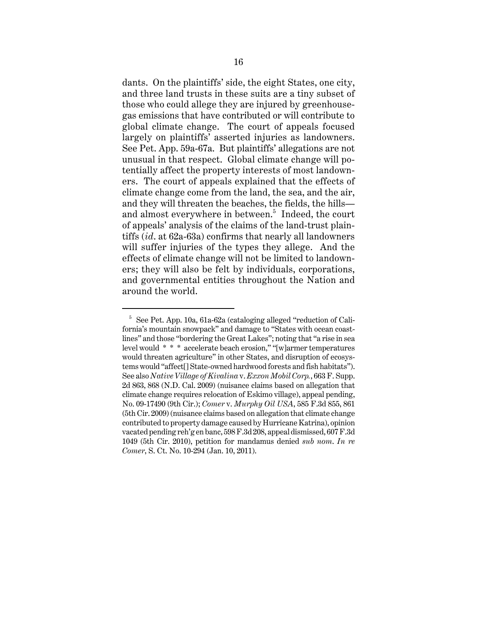dants. On the plaintiffs' side, the eight States, one city, and three land trusts in these suits are a tiny subset of those who could allege they are injured by greenhousegas emissions that have contributed or will contribute to global climate change. The court of appeals focused largely on plaintiffs' asserted injuries as landowners. See Pet. App. 59a-67a. But plaintiffs' allegations are not unusual in that respect. Global climate change will potentially affect the property interests of most landowners. The court of appeals explained that the effects of climate change come from the land, the sea, and the air, and they will threaten the beaches, the fields, the hills and almost everywhere in between.<sup>5</sup> Indeed, the court of appeals' analysis of the claims of the land-trust plaintiffs (*id*. at 62a-63a) confirms that nearly all landowners will suffer injuries of the types they allege. And the effects of climate change will not be limited to landowners; they will also be felt by individuals, corporations, and governmental entities throughout the Nation and around the world.

 $5$  See Pet. App. 10a, 61a-62a (cataloging alleged "reduction of California's mountain snowpack" and damage to "States with ocean coastlines" and those "bordering the Great Lakes"; noting that "a rise in sea level would \* \* \* accelerate beach erosion," "[w]armer temperatures would threaten agriculture" in other States, and disruption of ecosystems would "affect[] State-owned hardwood forests and fish habitats"). See also *Native Village of Kivalina* v. *Exxon Mobil Corp.*, 663 F. Supp. 2d 863, 868 (N.D. Cal. 2009) (nuisance claims based on allegation that climate change requires relocation of Eskimo village), appeal pending, No. 09-17490 (9th Cir.); *Comer* v. *Murphy Oil USA*, 585 F.3d 855, 861 (5th Cir. 2009) (nuisance claims based on allegation that climate change contributed to property damage caused by Hurricane Katrina), opinion vacated pending reh'g en banc, 598 F.3d 208, appeal dismissed, 607 F.3d 1049 (5th Cir. 2010), petition for mandamus denied *sub nom*. *In re Comer*, S. Ct. No. 10-294 (Jan. 10, 2011).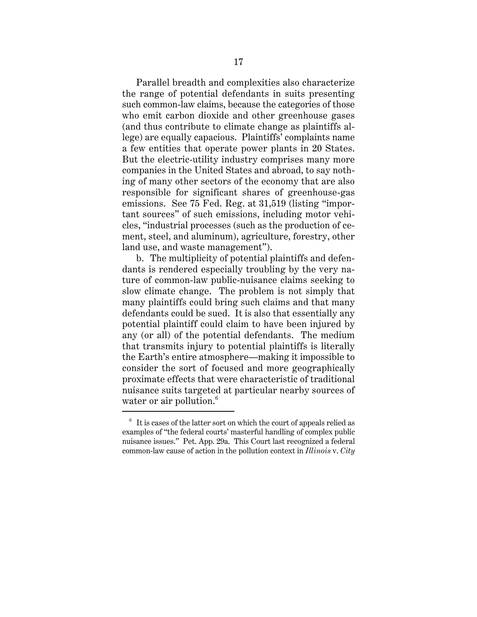Parallel breadth and complexities also characterize the range of potential defendants in suits presenting such common-law claims, because the categories of those who emit carbon dioxide and other greenhouse gases (and thus contribute to climate change as plaintiffs allege) are equally capacious. Plaintiffs' complaints name a few entities that operate power plants in 20 States. But the electric-utility industry comprises many more companies in the United States and abroad, to say nothing of many other sectors of the economy that are also responsible for significant shares of greenhouse-gas emissions. See 75 Fed. Reg. at 31,519 (listing "important sources" of such emissions, including motor vehicles, "industrial processes (such as the production of cement, steel, and aluminum), agriculture, forestry, other land use, and waste management").

b. The multiplicity of potential plaintiffs and defendants is rendered especially troubling by the very nature of common-law public-nuisance claims seeking to slow climate change. The problem is not simply that many plaintiffs could bring such claims and that many defendants could be sued. It is also that essentially any potential plaintiff could claim to have been injured by any (or all) of the potential defendants. The medium that transmits injury to potential plaintiffs is literally the Earth's entire atmosphere—making it impossible to consider the sort of focused and more geographically proximate effects that were characteristic of traditional nuisance suits targeted at particular nearby sources of water or air pollution. $6$ 

 $6\text{ }$  It is cases of the latter sort on which the court of appeals relied as examples of "the federal courts' masterful handling of complex public nuisance issues." Pet. App. 29a. This Court last recognized a federal common-law cause of action in the pollution context in *Illinois* v. *City*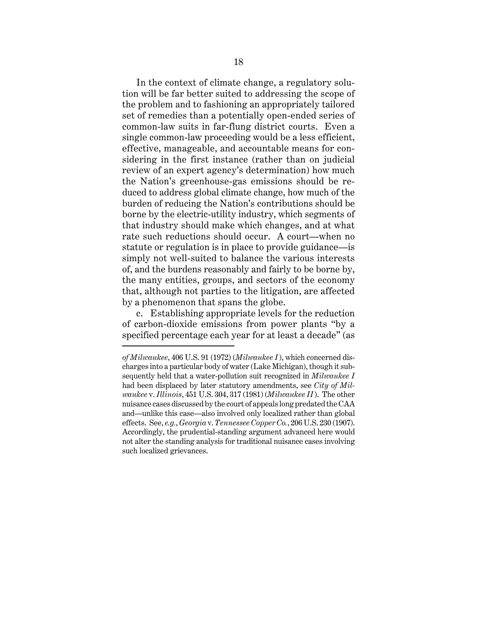In the context of climate change, a regulatory solution will be far better suited to addressing the scope of the problem and to fashioning an appropriately tailored set of remedies than a potentially open-ended series of common-law suits in far-flung district courts. Even a single common-law proceeding would be a less efficient, effective, manageable, and accountable means for considering in the first instance (rather than on judicial review of an expert agency's determination) how much the Nation's greenhouse-gas emissions should be reduced to address global climate change, how much of the burden of reducing the Nation's contributions should be borne by the electric-utility industry, which segments of that industry should make which changes, and at what rate such reductions should occur. A court—when no statute or regulation is in place to provide guidance—is simply not well-suited to balance the various interests of, and the burdens reasonably and fairly to be borne by, the many entities, groups, and sectors of the economy that, although not parties to the litigation, are affected by a phenomenon that spans the globe.

c. Establishing appropriate levels for the reduction of carbon-dioxide emissions from power plants "by a specified percentage each year for at least a decade" (as

*of Milwaukee*, 406 U.S. 91 (1972) (*Milwaukee I* ), which concerned discharges into a particular body of water (Lake Michigan), though it subsequently held that a water-pollution suit recognized in *Milwaukee I* had been displaced by later statutory amendments, see *City of Milwaukee* v. *Illinois*, 451 U.S. 304, 317 (1981) (*Milwaukee II* ). The other nuisance cases discussed by the court of appeals long predated the CAA and—unlike this case—also involved only localized rather than global effects. See, *e.g.*, *Georgia* v. *Tennessee Copper Co.*, 206 U.S. 230 (1907). Accordingly, the prudential-standing argument advanced here would not alter the standing analysis for traditional nuisance cases involving such localized grievances.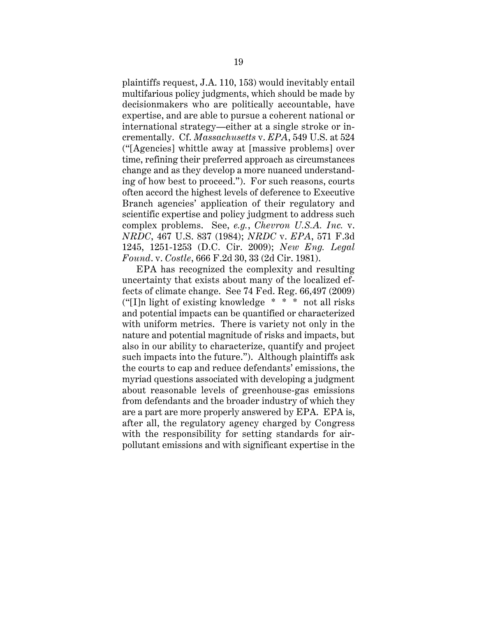plaintiffs request, J.A. 110, 153) would inevitably entail multifarious policy judgments, which should be made by decisionmakers who are politically accountable, have expertise, and are able to pursue a coherent national or international strategy—either at a single stroke or incrementally. Cf. *Massachusetts* v. *EPA*, 549 U.S. at 524 ("[Agencies] whittle away at [massive problems] over time, refining their preferred approach as circumstances change and as they develop a more nuanced understanding of how best to proceed."). For such reasons, courts often accord the highest levels of deference to Executive Branch agencies' application of their regulatory and scientific expertise and policy judgment to address such complex problems. See, *e.g.*, *Chevron U.S.A. Inc.* v. *NRDC*, 467 U.S. 837 (1984); *NRDC* v. *EPA*, 571 F.3d 1245, 1251-1253 (D.C. Cir. 2009); *New Eng. Legal Found*. v. *Costle*, 666 F.2d 30, 33 (2d Cir. 1981).

EPA has recognized the complexity and resulting uncertainty that exists about many of the localized effects of climate change. See 74 Fed. Reg. 66,497 (2009) (" $[1]n$  light of existing knowledge  $* * * n$  not all risks and potential impacts can be quantified or characterized with uniform metrics. There is variety not only in the nature and potential magnitude of risks and impacts, but also in our ability to characterize, quantify and project such impacts into the future."). Although plaintiffs ask the courts to cap and reduce defendants' emissions, the myriad questions associated with developing a judgment about reasonable levels of greenhouse-gas emissions from defendants and the broader industry of which they are a part are more properly answered by EPA. EPA is, after all, the regulatory agency charged by Congress with the responsibility for setting standards for airpollutant emissions and with significant expertise in the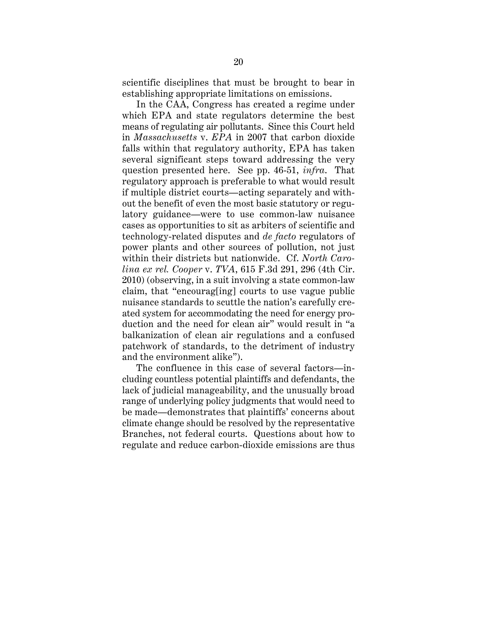scientific disciplines that must be brought to bear in establishing appropriate limitations on emissions.

In the CAA, Congress has created a regime under which EPA and state regulators determine the best means of regulating air pollutants. Since this Court held in *Massachusetts* v. *EPA* in 2007 that carbon dioxide falls within that regulatory authority, EPA has taken several significant steps toward addressing the very question presented here. See pp. 46-51, *infra*. That regulatory approach is preferable to what would result if multiple district courts—acting separately and without the benefit of even the most basic statutory or regulatory guidance—were to use common-law nuisance cases as opportunities to sit as arbiters of scientific and technology-related disputes and *de facto* regulators of power plants and other sources of pollution, not just within their districts but nationwide. Cf. *North Carolina ex rel. Cooper* v. *TVA*, 615 F.3d 291, 296 (4th Cir. 2010) (observing, in a suit involving a state common-law claim, that "encourag[ing] courts to use vague public nuisance standards to scuttle the nation's carefully created system for accommodating the need for energy production and the need for clean air" would result in "a balkanization of clean air regulations and a confused patchwork of standards, to the detriment of industry and the environment alike").

The confluence in this case of several factors—including countless potential plaintiffs and defendants, the lack of judicial manageability, and the unusually broad range of underlying policy judgments that would need to be made—demonstrates that plaintiffs' concerns about climate change should be resolved by the representative Branches, not federal courts. Questions about how to regulate and reduce carbon-dioxide emissions are thus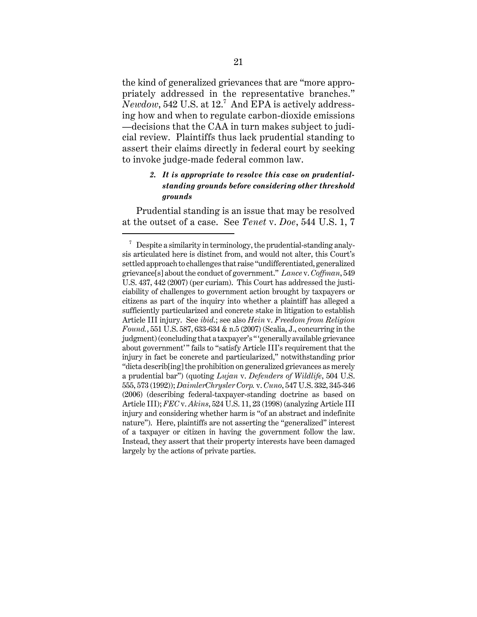the kind of generalized grievances that are "more appropriately addressed in the representative branches." *Newdow*, 542 U.S. at 12.<sup>7</sup> And EPA is actively addressing how and when to regulate carbon-dioxide emissions —decisions that the CAA in turn makes subject to judicial review. Plaintiffs thus lack prudential standing to assert their claims directly in federal court by seeking to invoke judge-made federal common law.

# *2. It is appropriate to resolve this case on prudentialstanding grounds before considering other threshold grounds*

Prudential standing is an issue that may be resolved at the outset of a case. See *Tenet* v. *Doe*, 544 U.S. 1, 7

 $7$  Despite a similarity in terminology, the prudential-standing analysis articulated here is distinct from, and would not alter, this Court's settled approach to challenges that raise "undifferentiated, generalized grievance[s] about the conduct of government." *Lance* v. *Coffman*, 549 U.S. 437, 442 (2007) (per curiam). This Court has addressed the justiciability of challenges to government action brought by taxpayers or citizens as part of the inquiry into whether a plaintiff has alleged a sufficiently particularized and concrete stake in litigation to establish Article III injury. See *ibid*.; see also *Hein* v. *Freedom from Religion Found.*, 551 U.S. 587, 633-634 & n.5 (2007) (Scalia, J., concurring in the judgment) (concluding that a taxpayer's "'generally available grievance about government'" fails to "satisfy Article III's requirement that the injury in fact be concrete and particularized," notwithstanding prior "dicta describ[ing] the prohibition on generalized grievances as merely a prudential bar") (quoting *Lujan* v. *Defenders of Wildlife*, 504 U.S. 555, 573 (1992)); *DaimlerChrysler Corp.* v. *Cuno*, 547 U.S. 332, 345-346 (2006) (describing federal-taxpayer-standing doctrine as based on Article III); *FEC* v. *Akins*, 524 U.S. 11, 23 (1998) (analyzing Article III injury and considering whether harm is "of an abstract and indefinite nature"). Here, plaintiffs are not asserting the "generalized" interest of a taxpayer or citizen in having the government follow the law. Instead, they assert that their property interests have been damaged largely by the actions of private parties.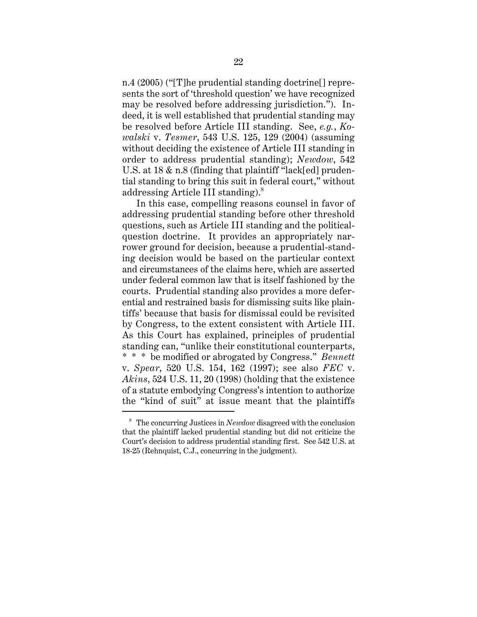n.4 (2005) ("[T]he prudential standing doctrine[] represents the sort of 'threshold question' we have recognized may be resolved before addressing jurisdiction."). Indeed, it is well established that prudential standing may be resolved before Article III standing. See, *e.g.*, *Kowalski* v. *Tesmer*, 543 U.S. 125, 129 (2004) (assuming without deciding the existence of Article III standing in order to address prudential standing); *Newdow*, 542 U.S. at 18 & n.8 (finding that plaintiff "lack[ed] prudential standing to bring this suit in federal court," without addressing Article III standing).<sup>8</sup>

In this case, compelling reasons counsel in favor of addressing prudential standing before other threshold questions, such as Article III standing and the politicalquestion doctrine. It provides an appropriately narrower ground for decision, because a prudential-standing decision would be based on the particular context and circumstances of the claims here, which are asserted under federal common law that is itself fashioned by the courts. Prudential standing also provides a more deferential and restrained basis for dismissing suits like plaintiffs' because that basis for dismissal could be revisited by Congress, to the extent consistent with Article III. As this Court has explained, principles of prudential standing can, "unlike their constitutional counterparts, \* \* \* be modified or abrogated by Congress." *Bennett* v. *Spear*, 520 U.S. 154, 162 (1997); see also *FEC* v. *Akins*, 524 U.S. 11, 20 (1998) (holding that the existence of a statute embodying Congress's intention to authorize the "kind of suit" at issue meant that the plaintiffs

<sup>8</sup> The concurring Justices in *Newdow* disagreed with the conclusion that the plaintiff lacked prudential standing but did not criticize the Court's decision to address prudential standing first. See 542 U.S. at 18-25 (Rehnquist, C.J., concurring in the judgment).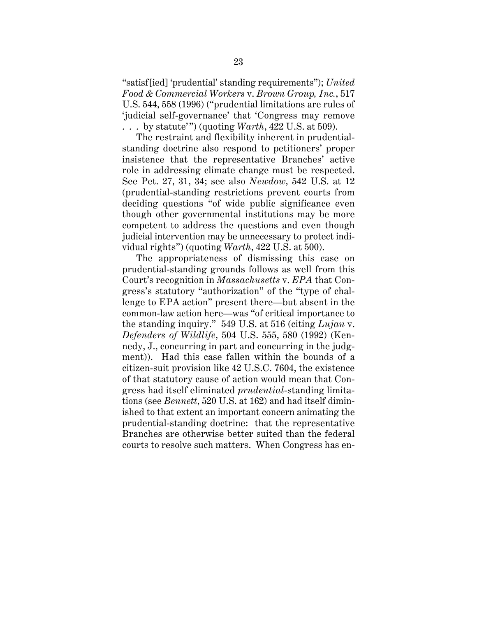"satisf[ied] 'prudential' standing requirements"); *United Food & Commercial Workers* v. *Brown Group, Inc.*, 517 U.S. 544, 558 (1996) ("prudential limitations are rules of 'judicial self-governance' that 'Congress may remove . . . by statute'") (quoting *Warth*, 422 U.S. at 509).

The restraint and flexibility inherent in prudentialstanding doctrine also respond to petitioners' proper insistence that the representative Branches' active role in addressing climate change must be respected. See Pet. 27, 31, 34; see also *Newdow*, 542 U.S. at 12 (prudential-standing restrictions prevent courts from deciding questions "of wide public significance even though other governmental institutions may be more competent to address the questions and even though judicial intervention may be unnecessary to protect individual rights") (quoting *Warth*, 422 U.S. at 500).

The appropriateness of dismissing this case on prudential-standing grounds follows as well from this Court's recognition in *Massachusetts* v. *EPA* that Congress's statutory "authorization" of the "type of challenge to EPA action" present there—but absent in the common-law action here—was "of critical importance to the standing inquiry." 549 U.S. at 516 (citing *Lujan* v. *Defenders of Wildlife*, 504 U.S. 555, 580 (1992) (Kennedy, J., concurring in part and concurring in the judgment)). Had this case fallen within the bounds of a citizen-suit provision like 42 U.S.C. 7604, the existence of that statutory cause of action would mean that Congress had itself eliminated *prudential*-standing limitations (see *Bennett*, 520 U.S. at 162) and had itself diminished to that extent an important concern animating the prudential-standing doctrine: that the representative Branches are otherwise better suited than the federal courts to resolve such matters. When Congress has en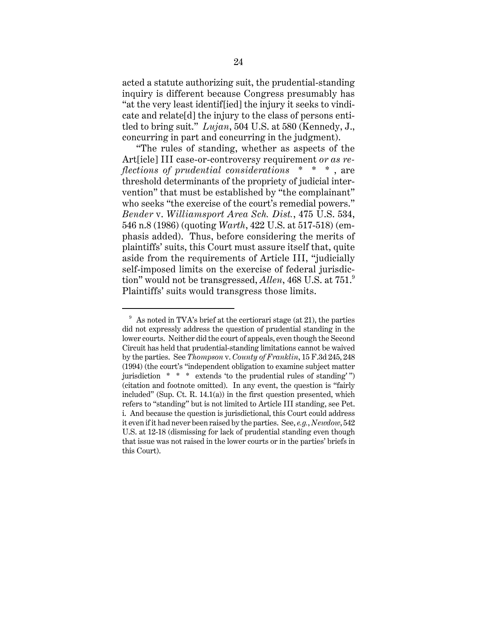acted a statute authorizing suit, the prudential-standing inquiry is different because Congress presumably has "at the very least identif[ied] the injury it seeks to vindicate and relate[d] the injury to the class of persons entitled to bring suit." *Lujan*, 504 U.S. at 580 (Kennedy, J., concurring in part and concurring in the judgment).

"The rules of standing, whether as aspects of the Art[icle] III case-or-controversy requirement *or as reflections of prudential considerations* \* \* \* , are threshold determinants of the propriety of judicial intervention" that must be established by "the complainant" who seeks "the exercise of the court's remedial powers." *Bender* v. *Williamsport Area Sch. Dist.*, 475 U.S. 534, 546 n.8 (1986) (quoting *Warth*, 422 U.S. at 517-518) (emphasis added). Thus, before considering the merits of plaintiffs' suits, this Court must assure itself that, quite aside from the requirements of Article III, "judicially self-imposed limits on the exercise of federal jurisdiction" would not be transgressed, *Allen*, 468 U.S. at 751.<sup>9</sup> Plaintiffs' suits would transgress those limits.

 $9\text{ A}s$  noted in TVA's brief at the certiorari stage (at 21), the parties did not expressly address the question of prudential standing in the lower courts. Neither did the court of appeals, even though the Second Circuit has held that prudential-standing limitations cannot be waived by the parties. See *Thompson* v. *County of Franklin*, 15 F.3d 245, 248 (1994) (the court's "independent obligation to examine subject matter jurisdiction  $* * *$  extends 'to the prudential rules of standing'") (citation and footnote omitted). In any event, the question is "fairly included" (Sup. Ct. R. 14.1(a)) in the first question presented, which refers to "standing" but is not limited to Article III standing, see Pet. i. And because the question is jurisdictional, this Court could address it even if it had never been raised by the parties. See, *e.g.*, *Newdow*, 542 U.S. at 12-18 (dismissing for lack of prudential standing even though that issue was not raised in the lower courts or in the parties' briefs in this Court).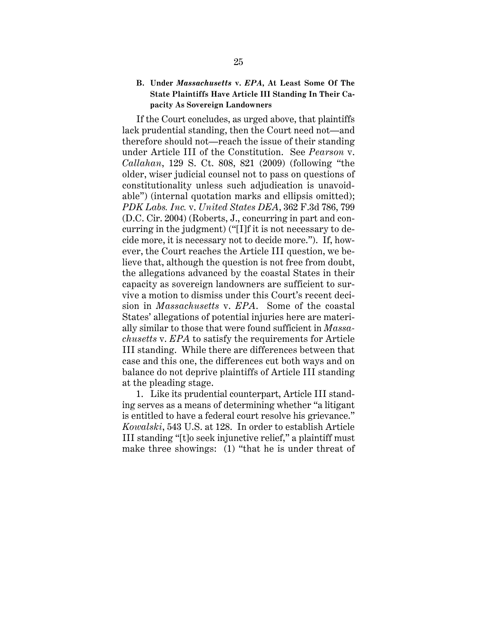## **B. Under** *Massachusetts* **v.** *EPA***, At Least Some Of The State Plaintiffs Have Article III Standing In Their Capacity As Sovereign Landowners**

If the Court concludes, as urged above, that plaintiffs lack prudential standing, then the Court need not—and therefore should not—reach the issue of their standing under Article III of the Constitution. See *Pearson* v. *Callahan*, 129 S. Ct. 808, 821 (2009) (following "the older, wiser judicial counsel not to pass on questions of constitutionality unless such adjudication is unavoidable") (internal quotation marks and ellipsis omitted); *PDK Labs. Inc.* v. *United States DEA*, 362 F.3d 786, 799 (D.C. Cir. 2004) (Roberts, J., concurring in part and concurring in the judgment) ("[I]f it is not necessary to decide more, it is necessary not to decide more."). If, however, the Court reaches the Article III question, we believe that, although the question is not free from doubt, the allegations advanced by the coastal States in their capacity as sovereign landowners are sufficient to survive a motion to dismiss under this Court's recent decision in *Massachusetts* v. *EPA*. Some of the coastal States' allegations of potential injuries here are materially similar to those that were found sufficient in *Massachusetts* v. *EPA* to satisfy the requirements for Article III standing. While there are differences between that case and this one, the differences cut both ways and on balance do not deprive plaintiffs of Article III standing at the pleading stage.

1. Like its prudential counterpart, Article III standing serves as a means of determining whether "a litigant is entitled to have a federal court resolve his grievance." *Kowalski*, 543 U.S. at 128. In order to establish Article III standing "[t]o seek injunctive relief," a plaintiff must make three showings: (1) "that he is under threat of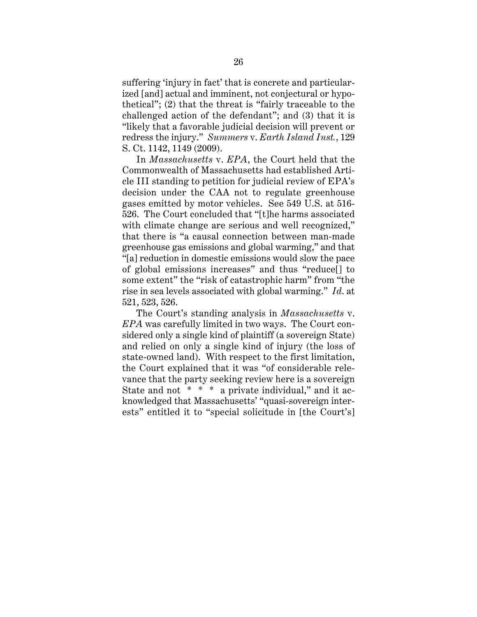suffering 'injury in fact' that is concrete and particularized [and] actual and imminent, not conjectural or hypothetical"; (2) that the threat is "fairly traceable to the challenged action of the defendant"; and (3) that it is "likely that a favorable judicial decision will prevent or redress the injury." *Summers* v. *Earth Island Inst.*, 129 S. Ct. 1142, 1149 (2009).

In *Massachusetts* v. *EPA*, the Court held that the Commonwealth of Massachusetts had established Article III standing to petition for judicial review of EPA's decision under the CAA not to regulate greenhouse gases emitted by motor vehicles. See 549 U.S. at 516- 526. The Court concluded that "[t]he harms associated with climate change are serious and well recognized," that there is "a causal connection between man-made greenhouse gas emissions and global warming," and that "[a] reduction in domestic emissions would slow the pace of global emissions increases" and thus "reduce[] to some extent" the "risk of catastrophic harm" from "the rise in sea levels associated with global warming." *Id*. at 521, 523, 526.

The Court's standing analysis in *Massachusetts* v. *EPA* was carefully limited in two ways. The Court considered only a single kind of plaintiff (a sovereign State) and relied on only a single kind of injury (the loss of state-owned land). With respect to the first limitation, the Court explained that it was "of considerable relevance that the party seeking review here is a sovereign State and not  $* * * a$  private individual," and it acknowledged that Massachusetts' "quasi-sovereign interests" entitled it to "special solicitude in [the Court's]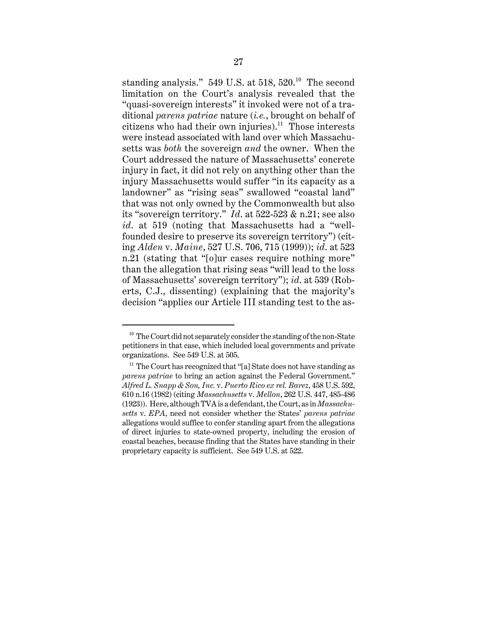standing analysis."  $549$  U.S. at  $518$ ,  $520$ .<sup>10</sup> The second limitation on the Court's analysis revealed that the "quasi-sovereign interests" it invoked were not of a traditional *parens patriae* nature (*i.e.*, brought on behalf of citizens who had their own injuries).<sup>11</sup> Those interests were instead associated with land over which Massachusetts was *both* the sovereign *and* the owner. When the Court addressed the nature of Massachusetts' concrete injury in fact, it did not rely on anything other than the injury Massachusetts would suffer "in its capacity as a landowner" as "rising seas" swallowed "coastal land" that was not only owned by the Commonwealth but also its "sovereign territory." *Id*. at 522-523 & n.21; see also *id*. at 519 (noting that Massachusetts had a "wellfounded desire to preserve its sovereign territory") (citing *Alden* v. *Maine*, 527 U.S. 706, 715 (1999)); *id*. at 523 n.21 (stating that "[o]ur cases require nothing more" than the allegation that rising seas "will lead to the loss of Massachusetts' sovereign territory"); *id*. at 539 (Roberts, C.J., dissenting) (explaining that the majority's decision "applies our Article III standing test to the as-

 $10$  The Court did not separately consider the standing of the non-State petitioners in that case, which included local governments and private organizations. See 549 U.S. at 505.

 $11$  The Court has recognized that "[a] State does not have standing as *parens patriae* to bring an action against the Federal Government." *Alfred L. Snapp & Son, Inc.* v. *Puerto Rico ex rel. Barez*, 458 U.S. 592, 610 n.16 (1982) (citing *Massachusetts* v. *Mellon*, 262 U.S. 447, 485-486 (1923)). Here, although TVA is a defendant, the Court, as in *Massachusetts* v. *EPA*, need not consider whether the States' *parens patriae* allegations would suffice to confer standing apart from the allegations of direct injuries to state-owned property, including the erosion of coastal beaches, because finding that the States have standing in their proprietary capacity is sufficient. See 549 U.S. at 522.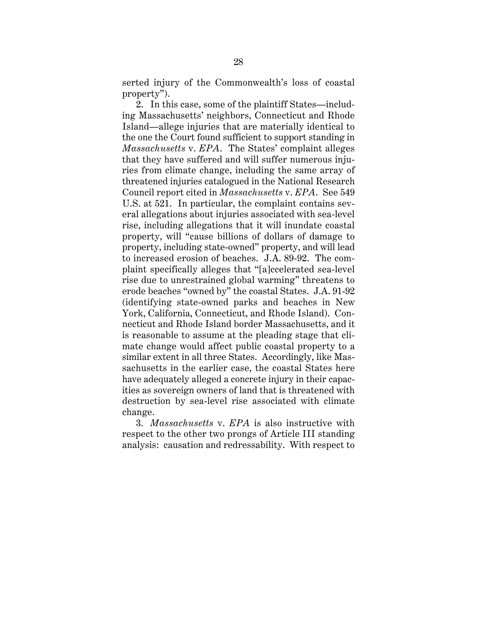serted injury of the Commonwealth's loss of coastal property").

2. In this case, some of the plaintiff States—including Massachusetts' neighbors, Connecticut and Rhode Island—allege injuries that are materially identical to the one the Court found sufficient to support standing in *Massachusetts* v. *EPA*. The States' complaint alleges that they have suffered and will suffer numerous injuries from climate change, including the same array of threatened injuries catalogued in the National Research Council report cited in *Massachusetts* v. *EPA*. See 549 U.S. at 521. In particular, the complaint contains several allegations about injuries associated with sea-level rise, including allegations that it will inundate coastal property, will "cause billions of dollars of damage to property, including state-owned" property, and will lead to increased erosion of beaches. J.A. 89-92. The complaint specifically alleges that "[a]ccelerated sea-level rise due to unrestrained global warming" threatens to erode beaches "owned by" the coastal States. J.A. 91-92 (identifying state-owned parks and beaches in New York, California, Connecticut, and Rhode Island). Connecticut and Rhode Island border Massachusetts, and it is reasonable to assume at the pleading stage that climate change would affect public coastal property to a similar extent in all three States. Accordingly, like Massachusetts in the earlier case, the coastal States here have adequately alleged a concrete injury in their capacities as sovereign owners of land that is threatened with destruction by sea-level rise associated with climate change.

3. *Massachusetts* v. *EPA* is also instructive with respect to the other two prongs of Article III standing analysis: causation and redressability. With respect to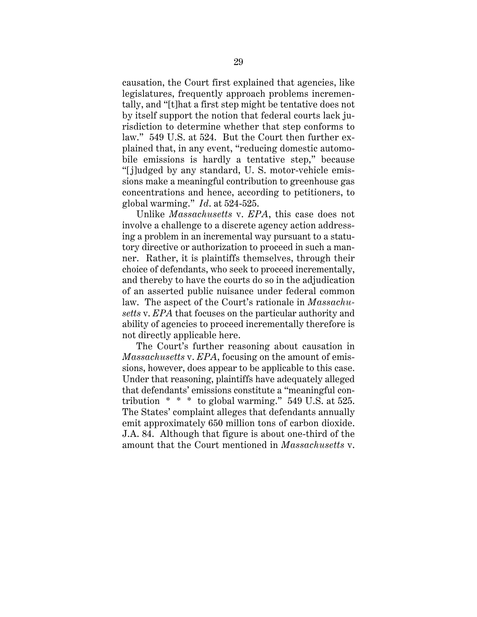causation, the Court first explained that agencies, like legislatures, frequently approach problems incrementally, and "[t]hat a first step might be tentative does not by itself support the notion that federal courts lack jurisdiction to determine whether that step conforms to law." 549 U.S. at 524. But the Court then further explained that, in any event, "reducing domestic automobile emissions is hardly a tentative step," because "[j]udged by any standard, U. S. motor-vehicle emissions make a meaningful contribution to greenhouse gas concentrations and hence, according to petitioners, to global warming." *Id*. at 524-525.

Unlike *Massachusetts* v. *EPA*, this case does not involve a challenge to a discrete agency action addressing a problem in an incremental way pursuant to a statutory directive or authorization to proceed in such a manner. Rather, it is plaintiffs themselves, through their choice of defendants, who seek to proceed incrementally, and thereby to have the courts do so in the adjudication of an asserted public nuisance under federal common law. The aspect of the Court's rationale in *Massachusetts* v. *EPA* that focuses on the particular authority and ability of agencies to proceed incrementally therefore is not directly applicable here.

The Court's further reasoning about causation in *Massachusetts* v. *EPA*, focusing on the amount of emissions, however, does appear to be applicable to this case. Under that reasoning, plaintiffs have adequately alleged that defendants' emissions constitute a "meaningful contribution  $* * *$  to global warming." 549 U.S. at 525. The States' complaint alleges that defendants annually emit approximately 650 million tons of carbon dioxide. J.A. 84. Although that figure is about one-third of the amount that the Court mentioned in *Massachusetts* v.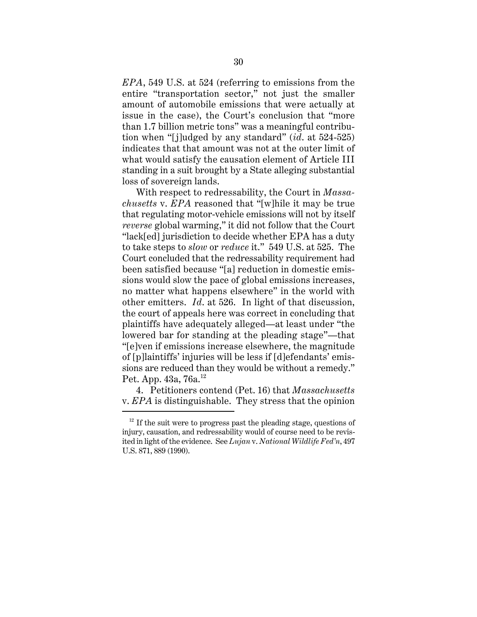*EPA*, 549 U.S. at 524 (referring to emissions from the entire "transportation sector," not just the smaller amount of automobile emissions that were actually at issue in the case), the Court's conclusion that "more than 1.7 billion metric tons" was a meaningful contribution when "[j]udged by any standard" (*id*. at 524-525) indicates that that amount was not at the outer limit of what would satisfy the causation element of Article III standing in a suit brought by a State alleging substantial loss of sovereign lands.

With respect to redressability, the Court in *Massachusetts* v. *EPA* reasoned that "[w]hile it may be true that regulating motor-vehicle emissions will not by itself *reverse* global warming," it did not follow that the Court "lack[ed] jurisdiction to decide whether EPA has a duty to take steps to *slow* or *reduce* it." 549 U.S. at 525. The Court concluded that the redressability requirement had been satisfied because "[a] reduction in domestic emissions would slow the pace of global emissions increases, no matter what happens elsewhere" in the world with other emitters. *Id*. at 526. In light of that discussion, the court of appeals here was correct in concluding that plaintiffs have adequately alleged—at least under "the lowered bar for standing at the pleading stage"—that "[e]ven if emissions increase elsewhere, the magnitude of [p]laintiffs' injuries will be less if [d]efendants' emissions are reduced than they would be without a remedy." Pet. App.  $43a, 76a.$ <sup>12</sup>

4. Petitioners contend (Pet. 16) that *Massachusetts* v. *EPA* is distinguishable. They stress that the opinion

 $12$  If the suit were to progress past the pleading stage, questions of injury, causation, and redressability would of course need to be revisited in light of the evidence. See *Lujan* v. *National Wildlife Fed'n*, 497 U.S. 871, 889 (1990).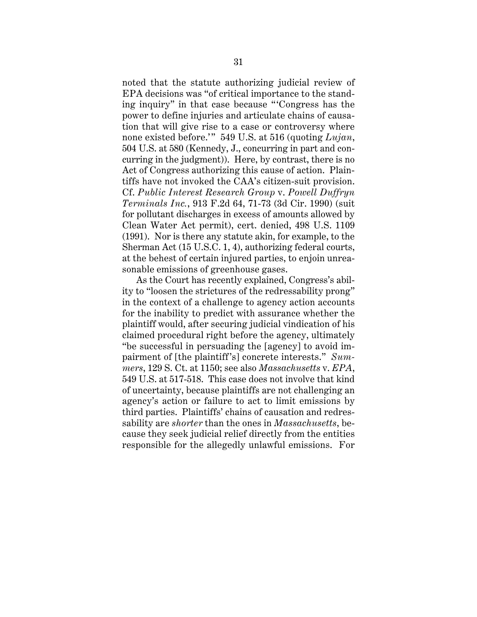noted that the statute authorizing judicial review of EPA decisions was "of critical importance to the standing inquiry" in that case because "'Congress has the power to define injuries and articulate chains of causation that will give rise to a case or controversy where none existed before.'" 549 U.S. at 516 (quoting *Lujan*, 504 U.S. at 580 (Kennedy, J., concurring in part and concurring in the judgment)). Here, by contrast, there is no Act of Congress authorizing this cause of action. Plaintiffs have not invoked the CAA's citizen-suit provision. Cf. *Public Interest Research Group* v. *Powell Duffryn Terminals Inc.*, 913 F.2d 64, 71-73 (3d Cir. 1990) (suit for pollutant discharges in excess of amounts allowed by Clean Water Act permit), cert. denied, 498 U.S. 1109 (1991). Nor is there any statute akin, for example, to the Sherman Act (15 U.S.C. 1, 4), authorizing federal courts, at the behest of certain injured parties, to enjoin unreasonable emissions of greenhouse gases.

As the Court has recently explained, Congress's ability to "loosen the strictures of the redressability prong" in the context of a challenge to agency action accounts for the inability to predict with assurance whether the plaintiff would, after securing judicial vindication of his claimed procedural right before the agency, ultimately "be successful in persuading the [agency] to avoid impairment of [the plaintiff's] concrete interests." *Summers*, 129 S. Ct. at 1150; see also *Massachusetts* v. *EPA*, 549 U.S. at 517-518. This case does not involve that kind of uncertainty, because plaintiffs are not challenging an agency's action or failure to act to limit emissions by third parties. Plaintiffs' chains of causation and redressability are *shorter* than the ones in *Massachusetts*, because they seek judicial relief directly from the entities responsible for the allegedly unlawful emissions. For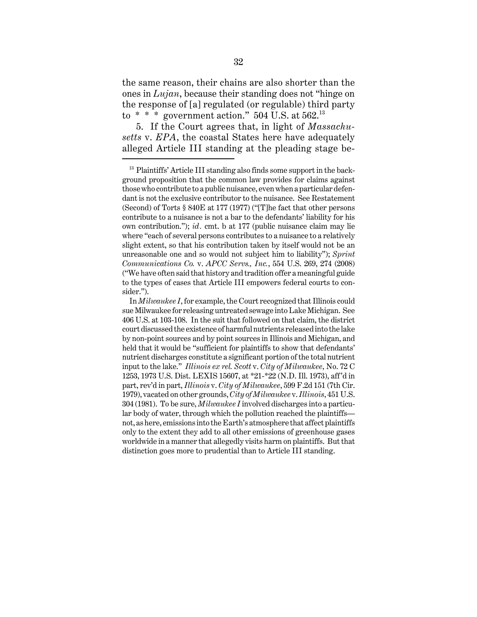the same reason, their chains are also shorter than the ones in *Lujan*, because their standing does not "hinge on the response of [a] regulated (or regulable) third party to  $* * *$  government action." 504 U.S. at 562.<sup>13</sup>

5. If the Court agrees that, in light of *Massachusetts* v. *EPA*, the coastal States here have adequately alleged Article III standing at the pleading stage be-

<sup>&</sup>lt;sup>13</sup> Plaintiffs' Article III standing also finds some support in the background proposition that the common law provides for claims against those who contribute to a public nuisance, even when a particular defendant is not the exclusive contributor to the nuisance. See Restatement (Second) of Torts § 840E at 177 (1977) ("[T]he fact that other persons contribute to a nuisance is not a bar to the defendants' liability for his own contribution."); *id.* cmt. b at 177 (public nuisance claim may lie where "each of several persons contributes to a nuisance to a relatively slight extent, so that his contribution taken by itself would not be an unreasonable one and so would not subject him to liability"); *Sprint Communications Co.* v. *APCC Servs., Inc.*, 554 U.S. 269, 274 (2008) ("We have often said that history and tradition offer a meaningful guide to the types of cases that Article III empowers federal courts to consider.").

In *Milwaukee I*, for example, the Court recognized that Illinois could sue Milwaukee for releasing untreated sewage into Lake Michigan. See 406 U.S. at 103-108. In the suit that followed on that claim, the district court discussed the existence of harmful nutrients released into the lake by non-point sources and by point sources in Illinois and Michigan, and held that it would be "sufficient for plaintiffs to show that defendants' nutrient discharges constitute a significant portion of the total nutrient input to the lake." *Illinois ex rel. Scott* v. *City of Milwaukee*, No. 72 C 1253, 1973 U.S. Dist. LEXIS 15607, at \*21-\*22 (N.D. Ill. 1973), aff'd in part, rev'd in part, *Illinois* v. *City of Milwaukee*, 599 F.2d 151 (7th Cir. 1979), vacated on other grounds, *City of Milwaukee* v. *Illinois*, 451 U.S. 304 (1981). To be sure, *Milwaukee I* involved discharges into a particular body of water, through which the pollution reached the plaintiffs not, as here, emissions into the Earth's atmosphere that affect plaintiffs only to the extent they add to all other emissions of greenhouse gases worldwide in a manner that allegedly visits harm on plaintiffs. But that distinction goes more to prudential than to Article III standing.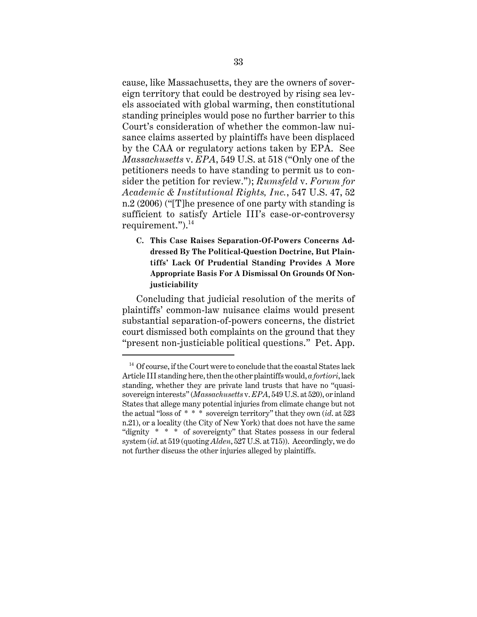cause, like Massachusetts, they are the owners of sovereign territory that could be destroyed by rising sea levels associated with global warming, then constitutional standing principles would pose no further barrier to this Court's consideration of whether the common-law nuisance claims asserted by plaintiffs have been displaced by the CAA or regulatory actions taken by EPA. See *Massachusetts* v. *EPA*, 549 U.S. at 518 ("Only one of the petitioners needs to have standing to permit us to consider the petition for review."); *Rumsfeld* v. *Forum for Academic & Institutional Rights, Inc.*, 547 U.S. 47, 52 n.2 (2006) ("[T]he presence of one party with standing is sufficient to satisfy Article III's case-or-controversy requirement.").<sup>14</sup>

**C. This Case Raises Separation-Of-Powers Concerns Addressed By The Political-Question Doctrine, But Plaintiffs' Lack Of Prudential Standing Provides A More Appropriate Basis For A Dismissal On Grounds Of Nonjusticiability**

Concluding that judicial resolution of the merits of plaintiffs' common-law nuisance claims would present substantial separation-of-powers concerns, the district court dismissed both complaints on the ground that they "present non-justiciable political questions." Pet. App.

 $14$  Of course, if the Court were to conclude that the coastal States lack Article III standing here, then the other plaintiffs would, *a fortiori*, lack standing, whether they are private land trusts that have no "quasisovereign interests" (*Massachusetts* v. *EPA*, 549 U.S. at 520), or inland States that allege many potential injuries from climate change but not the actual "loss of \* \* \* sovereign territory" that they own (*id*. at 523 n.21), or a locality (the City of New York) that does not have the same "dignity \* \* \* of sovereignty" that States possess in our federal system (*id*. at 519 (quoting *Alden*, 527 U.S. at 715)). Accordingly, we do not further discuss the other injuries alleged by plaintiffs.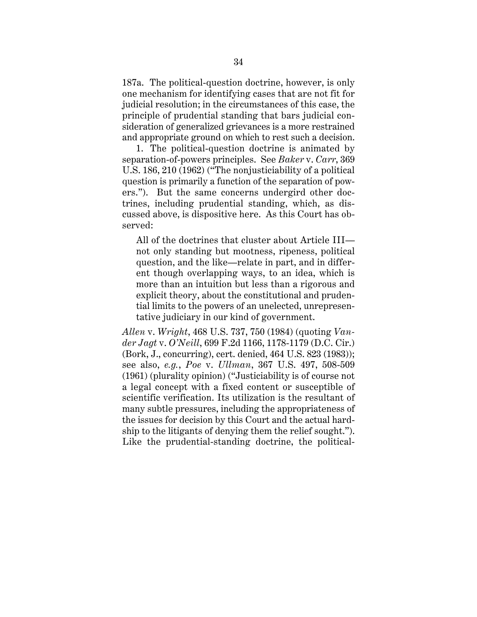187a. The political-question doctrine, however, is only one mechanism for identifying cases that are not fit for judicial resolution; in the circumstances of this case, the principle of prudential standing that bars judicial consideration of generalized grievances is a more restrained and appropriate ground on which to rest such a decision.

1. The political-question doctrine is animated by separation-of-powers principles. See *Baker* v. *Carr*, 369 U.S. 186, 210 (1962) ("The nonjusticiability of a political question is primarily a function of the separation of powers."). But the same concerns undergird other doctrines, including prudential standing, which, as discussed above, is dispositive here. As this Court has observed:

All of the doctrines that cluster about Article III not only standing but mootness, ripeness, political question, and the like—relate in part, and in different though overlapping ways, to an idea, which is more than an intuition but less than a rigorous and explicit theory, about the constitutional and prudential limits to the powers of an unelected, unrepresentative judiciary in our kind of government.

*Allen* v. *Wright*, 468 U.S. 737, 750 (1984) (quoting *Vander Jagt* v. *O'Neill*, 699 F.2d 1166, 1178-1179 (D.C. Cir.) (Bork, J., concurring), cert. denied, 464 U.S. 823 (1983)); see also, *e.g.*, *Poe* v. *Ullman*, 367 U.S. 497, 508-509 (1961) (plurality opinion) ("Justiciability is of course not a legal concept with a fixed content or susceptible of scientific verification. Its utilization is the resultant of many subtle pressures, including the appropriateness of the issues for decision by this Court and the actual hardship to the litigants of denying them the relief sought."). Like the prudential-standing doctrine, the political-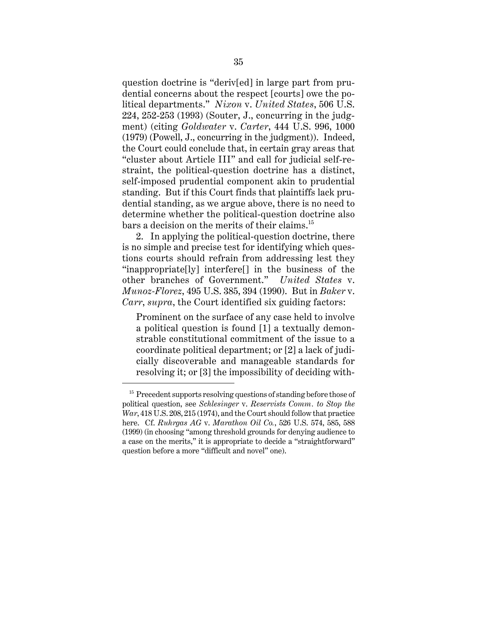question doctrine is "deriv[ed] in large part from prudential concerns about the respect [courts] owe the political departments." *Nixon* v. *United States*, 506 U.S. 224, 252-253 (1993) (Souter, J., concurring in the judgment) (citing *Goldwater* v. *Carter*, 444 U.S. 996, 1000 (1979) (Powell, J., concurring in the judgment)). Indeed, the Court could conclude that, in certain gray areas that "cluster about Article III" and call for judicial self-restraint, the political-question doctrine has a distinct, self-imposed prudential component akin to prudential standing. But if this Court finds that plaintiffs lack prudential standing, as we argue above, there is no need to determine whether the political-question doctrine also bars a decision on the merits of their claims.<sup>15</sup>

2. In applying the political-question doctrine, there is no simple and precise test for identifying which questions courts should refrain from addressing lest they "inappropriate[ly] interfere[] in the business of the other branches of Government." *United States* v. *Munoz-Florez*, 495 U.S. 385, 394 (1990). But in *Baker* v. *Carr*, *supra*, the Court identified six guiding factors:

Prominent on the surface of any case held to involve a political question is found [1] a textually demonstrable constitutional commitment of the issue to a coordinate political department; or [2] a lack of judicially discoverable and manageable standards for resolving it; or [3] the impossibility of deciding with-

 $15$  Precedent supports resolving questions of standing before those of political question, see *Schlesinger* v. *Reservists Comm. to Stop the War*, 418 U.S. 208, 215 (1974), and the Court should follow that practice here. Cf. *Ruhrgas AG* v. *Marathon Oil Co.*, 526 U.S. 574, 585, 588 (1999) (in choosing "among threshold grounds for denying audience to a case on the merits," it is appropriate to decide a "straightforward" question before a more "difficult and novel" one).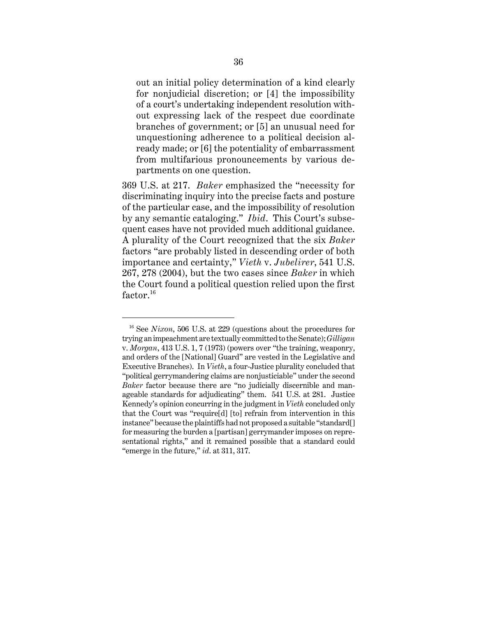out an initial policy determination of a kind clearly for nonjudicial discretion; or [4] the impossibility of a court's undertaking independent resolution without expressing lack of the respect due coordinate branches of government; or [5] an unusual need for unquestioning adherence to a political decision already made; or [6] the potentiality of embarrassment from multifarious pronouncements by various departments on one question.

369 U.S. at 217. *Baker* emphasized the "necessity for discriminating inquiry into the precise facts and posture of the particular case, and the impossibility of resolution by any semantic cataloging." *Ibid*. This Court's subsequent cases have not provided much additional guidance. A plurality of the Court recognized that the six *Baker* factors "are probably listed in descending order of both importance and certainty," *Vieth* v. *Jubelirer*, 541 U.S. 267, 278 (2004), but the two cases since *Baker* in which the Court found a political question relied upon the first factor.<sup>16</sup>

<sup>&</sup>lt;sup>16</sup> See *Nixon*, 506 U.S. at 229 (questions about the procedures for trying an impeachment are textually committed to the Senate); *Gilligan* v. *Morgan*, 413 U.S. 1, 7 (1973) (powers over "the training, weaponry, and orders of the [National] Guard" are vested in the Legislative and Executive Branches). In *Vieth*, a four-Justice plurality concluded that "political gerrymandering claims are nonjusticiable" under the second *Baker* factor because there are "no judicially discernible and manageable standards for adjudicating" them. 541 U.S. at 281. Justice Kennedy's opinion concurring in the judgment in *Vieth* concluded only that the Court was "require[d] [to] refrain from intervention in this instance" because the plaintiffs had not proposed a suitable "standard[] for measuring the burden a [partisan] gerrymander imposes on representational rights," and it remained possible that a standard could "emerge in the future," *id*. at 311, 317.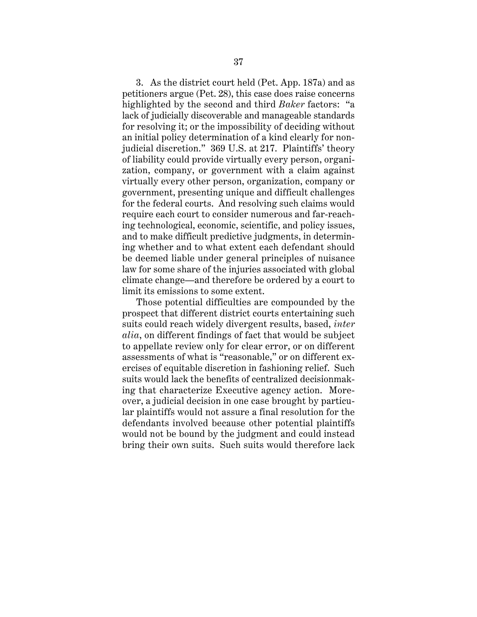3. As the district court held (Pet. App. 187a) and as petitioners argue (Pet. 28), this case does raise concerns highlighted by the second and third *Baker* factors: "a lack of judicially discoverable and manageable standards for resolving it; or the impossibility of deciding without an initial policy determination of a kind clearly for nonjudicial discretion." 369 U.S. at 217. Plaintiffs' theory of liability could provide virtually every person, organization, company, or government with a claim against virtually every other person, organization, company or government, presenting unique and difficult challenges for the federal courts. And resolving such claims would require each court to consider numerous and far-reaching technological, economic, scientific, and policy issues, and to make difficult predictive judgments, in determining whether and to what extent each defendant should be deemed liable under general principles of nuisance law for some share of the injuries associated with global climate change—and therefore be ordered by a court to limit its emissions to some extent.

Those potential difficulties are compounded by the prospect that different district courts entertaining such suits could reach widely divergent results, based, *inter alia*, on different findings of fact that would be subject to appellate review only for clear error, or on different assessments of what is "reasonable," or on different exercises of equitable discretion in fashioning relief. Such suits would lack the benefits of centralized decisionmaking that characterize Executive agency action. Moreover, a judicial decision in one case brought by particular plaintiffs would not assure a final resolution for the defendants involved because other potential plaintiffs would not be bound by the judgment and could instead bring their own suits. Such suits would therefore lack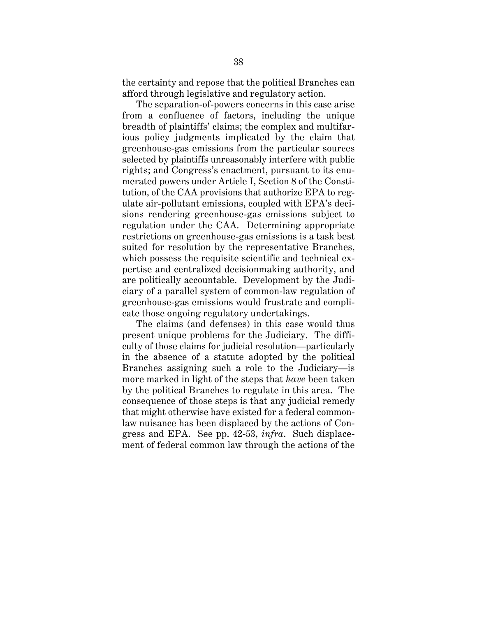the certainty and repose that the political Branches can afford through legislative and regulatory action.

The separation-of-powers concerns in this case arise from a confluence of factors, including the unique breadth of plaintiffs' claims; the complex and multifarious policy judgments implicated by the claim that greenhouse-gas emissions from the particular sources selected by plaintiffs unreasonably interfere with public rights; and Congress's enactment, pursuant to its enumerated powers under Article I, Section 8 of the Constitution, of the CAA provisions that authorize EPA to regulate air-pollutant emissions, coupled with EPA's decisions rendering greenhouse-gas emissions subject to regulation under the CAA. Determining appropriate restrictions on greenhouse-gas emissions is a task best suited for resolution by the representative Branches, which possess the requisite scientific and technical expertise and centralized decisionmaking authority, and are politically accountable. Development by the Judiciary of a parallel system of common-law regulation of greenhouse-gas emissions would frustrate and complicate those ongoing regulatory undertakings.

The claims (and defenses) in this case would thus present unique problems for the Judiciary. The difficulty of those claims for judicial resolution—particularly in the absence of a statute adopted by the political Branches assigning such a role to the Judiciary—is more marked in light of the steps that *have* been taken by the political Branches to regulate in this area. The consequence of those steps is that any judicial remedy that might otherwise have existed for a federal commonlaw nuisance has been displaced by the actions of Congress and EPA. See pp. 42-53, *infra*. Such displacement of federal common law through the actions of the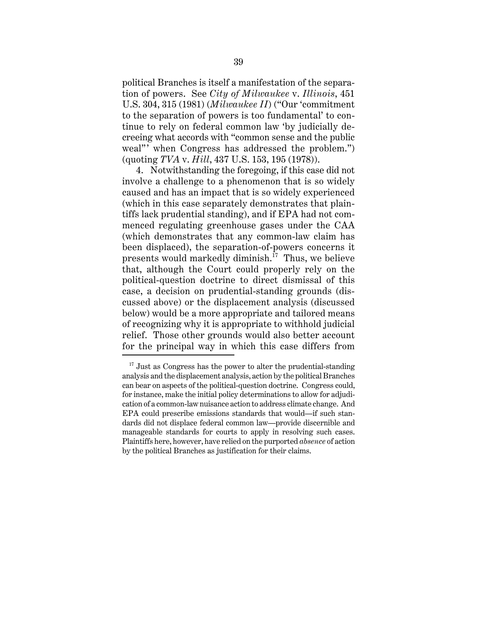political Branches is itself a manifestation of the separation of powers. See *City of Milwaukee* v. *Illinois*, 451 U.S. 304, 315 (1981) (*Milwaukee II*) ("Our 'commitment to the separation of powers is too fundamental' to continue to rely on federal common law 'by judicially decreeing what accords with "common sense and the public weal"' when Congress has addressed the problem.") (quoting *TVA* v. *Hill*, 437 U.S. 153, 195 (1978)).

4. Notwithstanding the foregoing, if this case did not involve a challenge to a phenomenon that is so widely caused and has an impact that is so widely experienced (which in this case separately demonstrates that plaintiffs lack prudential standing), and if EPA had not commenced regulating greenhouse gases under the CAA (which demonstrates that any common-law claim has been displaced), the separation-of-powers concerns it presents would markedly diminish. $^{17}$  Thus, we believe that, although the Court could properly rely on the political-question doctrine to direct dismissal of this case, a decision on prudential-standing grounds (discussed above) or the displacement analysis (discussed below) would be a more appropriate and tailored means of recognizing why it is appropriate to withhold judicial relief. Those other grounds would also better account for the principal way in which this case differs from

 $17$  Just as Congress has the power to alter the prudential-standing analysis and the displacement analysis, action by the political Branches can bear on aspects of the political-question doctrine. Congress could, for instance, make the initial policy determinations to allow for adjudication of a common-law nuisance action to address climate change. And EPA could prescribe emissions standards that would—if such standards did not displace federal common law—provide discernible and manageable standards for courts to apply in resolving such cases. Plaintiffs here, however, have relied on the purported *absence* of action by the political Branches as justification for their claims.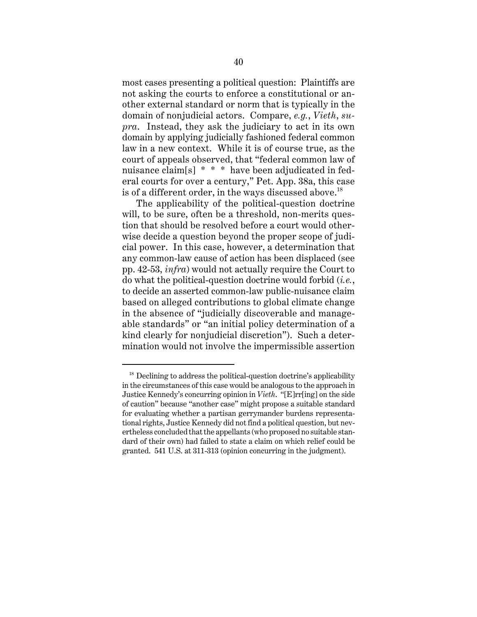most cases presenting a political question: Plaintiffs are not asking the courts to enforce a constitutional or another external standard or norm that is typically in the domain of nonjudicial actors. Compare, *e.g.*, *Vieth*, *supra*. Instead, they ask the judiciary to act in its own domain by applying judicially fashioned federal common law in a new context. While it is of course true, as the court of appeals observed, that "federal common law of nuisance claim[s] \* \* \* have been adjudicated in federal courts for over a century," Pet. App. 38a, this case is of a different order, in the ways discussed above.<sup>18</sup>

The applicability of the political-question doctrine will, to be sure, often be a threshold, non-merits question that should be resolved before a court would otherwise decide a question beyond the proper scope of judicial power. In this case, however, a determination that any common-law cause of action has been displaced (see pp. 42-53, *infra*) would not actually require the Court to do what the political-question doctrine would forbid (*i.e.*, to decide an asserted common-law public-nuisance claim based on alleged contributions to global climate change in the absence of "judicially discoverable and manageable standards" or "an initial policy determination of a kind clearly for nonjudicial discretion"). Such a determination would not involve the impermissible assertion

 $18$  Declining to address the political-question doctrine's applicability in the circumstances of this case would be analogous to the approach in Justice Kennedy's concurring opinion in *Vieth*. "[E]rr[ing] on the side of caution" because "another case" might propose a suitable standard for evaluating whether a partisan gerrymander burdens representational rights, Justice Kennedy did not find a political question, but nevertheless concluded that the appellants (who proposed no suitable standard of their own) had failed to state a claim on which relief could be granted. 541 U.S. at 311-313 (opinion concurring in the judgment).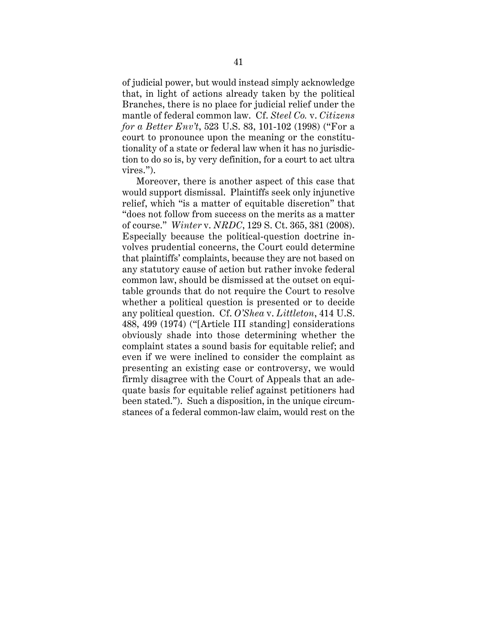of judicial power, but would instead simply acknowledge that, in light of actions already taken by the political Branches, there is no place for judicial relief under the mantle of federal common law. Cf. *Steel Co.* v. *Citizens for a Better Env't*, 523 U.S. 83, 101-102 (1998) ("For a court to pronounce upon the meaning or the constitutionality of a state or federal law when it has no jurisdiction to do so is, by very definition, for a court to act ultra vires.").

Moreover, there is another aspect of this case that would support dismissal. Plaintiffs seek only injunctive relief, which "is a matter of equitable discretion" that "does not follow from success on the merits as a matter of course." *Winter* v. *NRDC*, 129 S. Ct. 365, 381 (2008). Especially because the political-question doctrine involves prudential concerns, the Court could determine that plaintiffs' complaints, because they are not based on any statutory cause of action but rather invoke federal common law, should be dismissed at the outset on equitable grounds that do not require the Court to resolve whether a political question is presented or to decide any political question. Cf. *O'Shea* v. *Littleton*, 414 U.S. 488, 499 (1974) ("[Article III standing] considerations obviously shade into those determining whether the complaint states a sound basis for equitable relief; and even if we were inclined to consider the complaint as presenting an existing case or controversy, we would firmly disagree with the Court of Appeals that an adequate basis for equitable relief against petitioners had been stated."). Such a disposition, in the unique circumstances of a federal common-law claim, would rest on the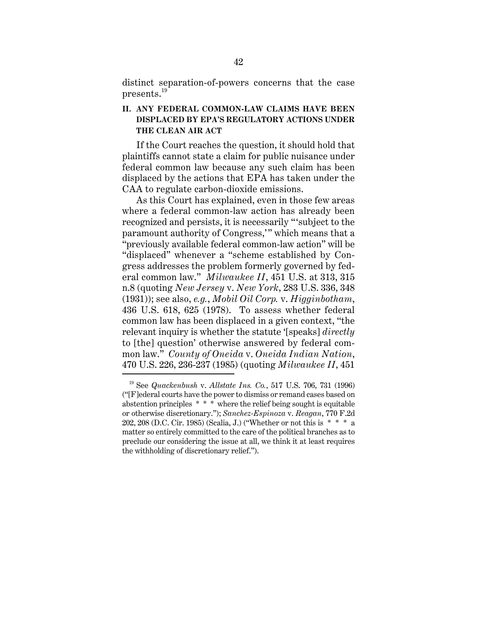distinct separation-of-powers concerns that the case presents.<sup>19</sup>

# **II. ANY FEDERAL COMMON-LAW CLAIMS HAVE BEEN DISPLACED BY EPA'S REGULATORY ACTIONS UNDER THE CLEAN AIR ACT**

If the Court reaches the question, it should hold that plaintiffs cannot state a claim for public nuisance under federal common law because any such claim has been displaced by the actions that EPA has taken under the CAA to regulate carbon-dioxide emissions.

As this Court has explained, even in those few areas where a federal common-law action has already been recognized and persists, it is necessarily "'subject to the paramount authority of Congress,'" which means that a "previously available federal common-law action" will be "displaced" whenever a "scheme established by Congress addresses the problem formerly governed by federal common law." *Milwaukee II*, 451 U.S. at 313, 315 n.8 (quoting *New Jersey* v. *New York*, 283 U.S. 336, 348 (1931)); see also, *e.g.*, *Mobil Oil Corp.* v. *Higginbotham*, 436 U.S. 618, 625 (1978). To assess whether federal common law has been displaced in a given context, "the relevant inquiry is whether the statute '[speaks] *directly* to [the] question' otherwise answered by federal common law." *County of Oneida* v. *Oneida Indian Nation*, 470 U.S. 226, 236-237 (1985) (quoting *Milwaukee II*, 451

<sup>19</sup> See *Quackenbush* v. *Allstate Ins. Co.*, 517 U.S. 706, 731 (1996) ("[F]ederal courts have the power to dismiss or remand cases based on abstention principles  $* * *$  where the relief being sought is equitable or otherwise discretionary."); *Sanchez-Espinoza* v. *Reagan*, 770 F.2d 202, 208 (D.C. Cir. 1985) (Scalia, J.) ("Whether or not this is \* \* \* a matter so entirely committed to the care of the political branches as to preclude our considering the issue at all, we think it at least requires the withholding of discretionary relief.").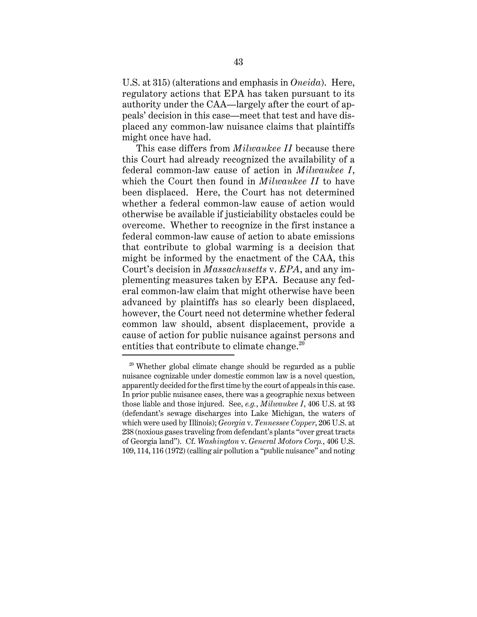U.S. at 315) (alterations and emphasis in *Oneida*). Here, regulatory actions that EPA has taken pursuant to its authority under the CAA—largely after the court of appeals' decision in this case—meet that test and have displaced any common-law nuisance claims that plaintiffs might once have had.

This case differs from *Milwaukee II* because there this Court had already recognized the availability of a federal common-law cause of action in *Milwaukee I*, which the Court then found in *Milwaukee II* to have been displaced. Here, the Court has not determined whether a federal common-law cause of action would otherwise be available if justiciability obstacles could be overcome. Whether to recognize in the first instance a federal common-law cause of action to abate emissions that contribute to global warming is a decision that might be informed by the enactment of the CAA, this Court's decision in *Massachusetts* v. *EPA*, and any implementing measures taken by EPA. Because any federal common-law claim that might otherwise have been advanced by plaintiffs has so clearly been displaced, however, the Court need not determine whether federal common law should, absent displacement, provide a cause of action for public nuisance against persons and entities that contribute to climate change.<sup>20</sup>

 $20$  Whether global climate change should be regarded as a public nuisance cognizable under domestic common law is a novel question, apparently decided for the first time by the court of appeals in this case. In prior public nuisance cases, there was a geographic nexus between those liable and those injured. See, *e.g.*, *Milwaukee I*, 406 U.S. at 93 (defendant's sewage discharges into Lake Michigan, the waters of which were used by Illinois); *Georgia* v. *Tennessee Copper*, 206 U.S. at 238 (noxious gases traveling from defendant's plants "over great tracts of Georgia land"). Cf. *Washington* v. *General Motors Corp.*, 406 U.S. 109, 114, 116 (1972) (calling air pollution a "public nuisance" and noting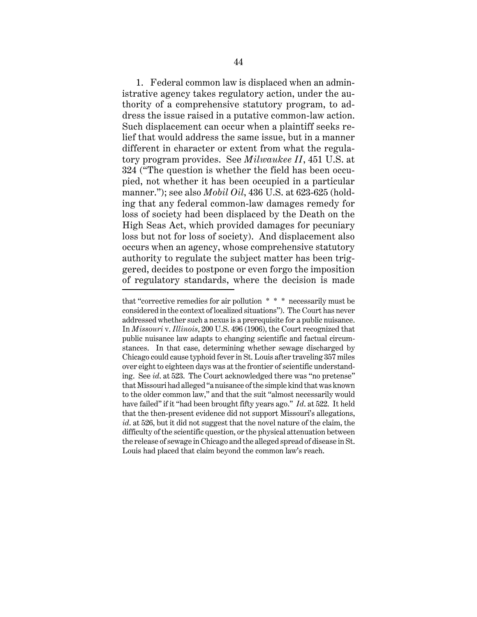1. Federal common law is displaced when an administrative agency takes regulatory action, under the authority of a comprehensive statutory program, to address the issue raised in a putative common-law action. Such displacement can occur when a plaintiff seeks relief that would address the same issue, but in a manner different in character or extent from what the regulatory program provides. See *Milwaukee II*, 451 U.S. at 324 ("The question is whether the field has been occupied, not whether it has been occupied in a particular manner."); see also *Mobil Oil*, 436 U.S. at 623-625 (holding that any federal common-law damages remedy for loss of society had been displaced by the Death on the High Seas Act, which provided damages for pecuniary loss but not for loss of society). And displacement also occurs when an agency, whose comprehensive statutory authority to regulate the subject matter has been triggered, decides to postpone or even forgo the imposition of regulatory standards, where the decision is made

that "corrective remedies for air pollution \* \* \* necessarily must be considered in the context of localized situations"). The Court has never addressed whether such a nexus is a prerequisite for a public nuisance. In *Missouri* v. *Illinois*, 200 U.S. 496 (1906), the Court recognized that public nuisance law adapts to changing scientific and factual circumstances. In that case, determining whether sewage discharged by Chicago could cause typhoid fever in St. Louis after traveling 357 miles over eight to eighteen days was at the frontier of scientific understanding. See *id*. at 523. The Court acknowledged there was "no pretense" that Missouri had alleged "a nuisance of the simple kind that was known to the older common law," and that the suit "almost necessarily would have failed" if it "had been brought fifty years ago." *Id*. at 522. It held that the then-present evidence did not support Missouri's allegations, *id*. at 526, but it did not suggest that the novel nature of the claim, the difficulty of the scientific question, or the physical attenuation between the release of sewage in Chicago and the alleged spread of disease in St. Louis had placed that claim beyond the common law's reach.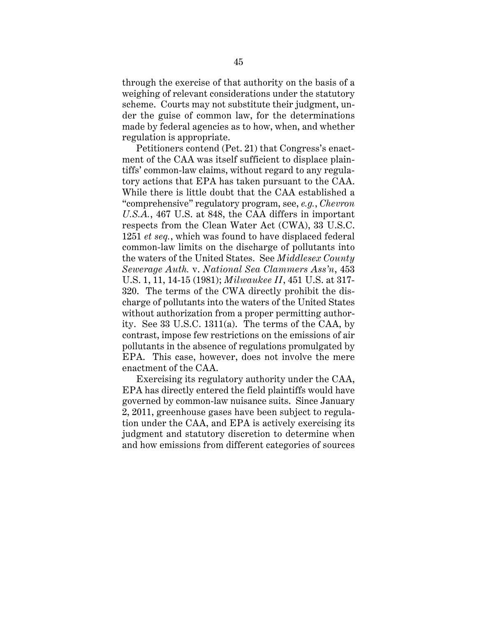through the exercise of that authority on the basis of a weighing of relevant considerations under the statutory scheme. Courts may not substitute their judgment, under the guise of common law, for the determinations made by federal agencies as to how, when, and whether regulation is appropriate.

Petitioners contend (Pet. 21) that Congress's enactment of the CAA was itself sufficient to displace plaintiffs' common-law claims, without regard to any regulatory actions that EPA has taken pursuant to the CAA. While there is little doubt that the CAA established a "comprehensive" regulatory program, see, *e.g.*, *Chevron U.S.A.*, 467 U.S. at 848, the CAA differs in important respects from the Clean Water Act (CWA), 33 U.S.C. 1251 *et seq.*, which was found to have displaced federal common-law limits on the discharge of pollutants into the waters of the United States. See *Middlesex County Sewerage Auth.* v. *National Sea Clammers Ass'n*, 453 U.S. 1, 11, 14-15 (1981); *Milwaukee II*, 451 U.S. at 317- 320. The terms of the CWA directly prohibit the discharge of pollutants into the waters of the United States without authorization from a proper permitting authority. See 33 U.S.C. 1311(a). The terms of the CAA, by contrast, impose few restrictions on the emissions of air pollutants in the absence of regulations promulgated by EPA. This case, however, does not involve the mere enactment of the CAA.

Exercising its regulatory authority under the CAA, EPA has directly entered the field plaintiffs would have governed by common-law nuisance suits. Since January 2, 2011, greenhouse gases have been subject to regulation under the CAA, and EPA is actively exercising its judgment and statutory discretion to determine when and how emissions from different categories of sources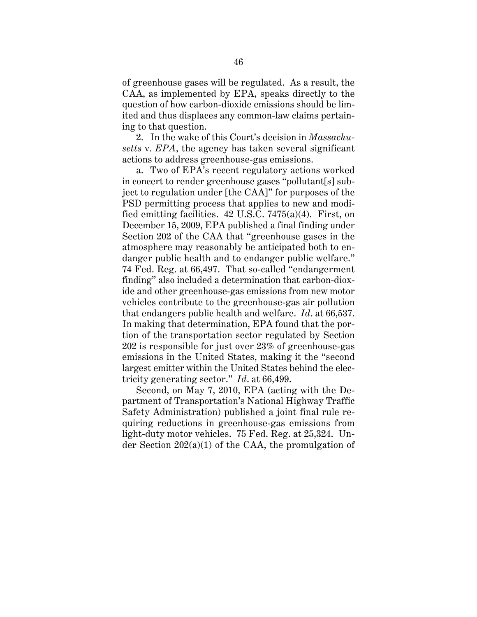of greenhouse gases will be regulated. As a result, the CAA, as implemented by EPA, speaks directly to the question of how carbon-dioxide emissions should be limited and thus displaces any common-law claims pertaining to that question.

2. In the wake of this Court's decision in *Massachusetts* v. *EPA*, the agency has taken several significant actions to address greenhouse-gas emissions.

a. Two of EPA's recent regulatory actions worked in concert to render greenhouse gases "pollutant[s] subject to regulation under [the CAA]" for purposes of the PSD permitting process that applies to new and modified emitting facilities. 42 U.S.C. 7475(a)(4). First, on December 15, 2009, EPA published a final finding under Section 202 of the CAA that "greenhouse gases in the atmosphere may reasonably be anticipated both to endanger public health and to endanger public welfare." 74 Fed. Reg. at 66,497. That so-called "endangerment finding" also included a determination that carbon-dioxide and other greenhouse-gas emissions from new motor vehicles contribute to the greenhouse-gas air pollution that endangers public health and welfare. *Id*. at 66,537. In making that determination, EPA found that the portion of the transportation sector regulated by Section 202 is responsible for just over 23% of greenhouse-gas emissions in the United States, making it the "second largest emitter within the United States behind the electricity generating sector." *Id*. at 66,499.

Second, on May 7, 2010, EPA (acting with the Department of Transportation's National Highway Traffic Safety Administration) published a joint final rule requiring reductions in greenhouse-gas emissions from light-duty motor vehicles. 75 Fed. Reg. at 25,324. Under Section 202(a)(1) of the CAA, the promulgation of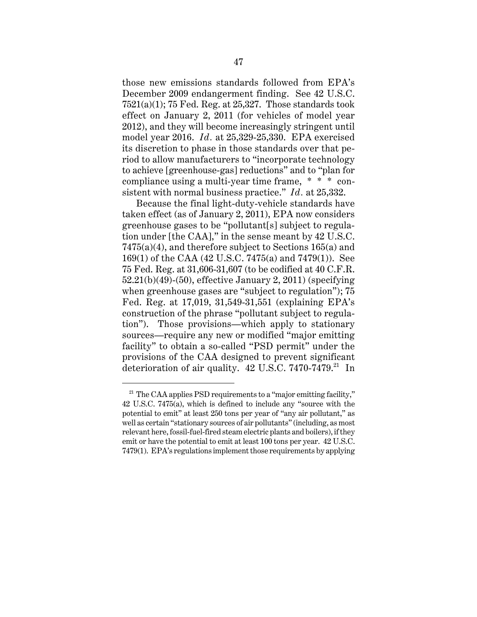those new emissions standards followed from EPA's December 2009 endangerment finding. See 42 U.S.C.  $7521(a)(1)$ ; 75 Fed. Reg. at 25,327. Those standards took effect on January 2, 2011 (for vehicles of model year 2012), and they will become increasingly stringent until model year 2016. *Id.* at 25,329-25,330. EPA exercised its discretion to phase in those standards over that period to allow manufacturers to "incorporate technology to achieve [greenhouse-gas] reductions" and to "plan for compliance using a multi-year time frame, \* \* \* consistent with normal business practice." *Id.* at 25,332.

Because the final light-duty-vehicle standards have taken effect (as of January 2, 2011), EPA now considers greenhouse gases to be "pollutant[s] subject to regulation under [the CAA]," in the sense meant by 42 U.S.C. 7475(a)(4), and therefore subject to Sections 165(a) and 169(1) of the CAA (42 U.S.C. 7475(a) and 7479(1)). See 75 Fed. Reg. at 31,606-31,607 (to be codified at 40 C.F.R. 52.21(b)(49)-(50), effective January 2, 2011) (specifying when greenhouse gases are "subject to regulation"); 75 Fed. Reg. at 17,019, 31,549-31,551 (explaining EPA's construction of the phrase "pollutant subject to regulation"). Those provisions—which apply to stationary sources—require any new or modified "major emitting facility" to obtain a so-called "PSD permit" under the provisions of the CAA designed to prevent significant deterioration of air quality.  $42$  U.S.C. 7470-7479.<sup>21</sup> In

 $21$  The CAA applies PSD requirements to a "major emitting facility," 42 U.S.C. 7475(a), which is defined to include any "source with the potential to emit" at least 250 tons per year of "any air pollutant," as well as certain "stationary sources of air pollutants" (including, as most relevant here, fossil-fuel-fired steam electric plants and boilers), if they emit or have the potential to emit at least 100 tons per year. 42 U.S.C. 7479(1). EPA's regulations implement those requirements by applying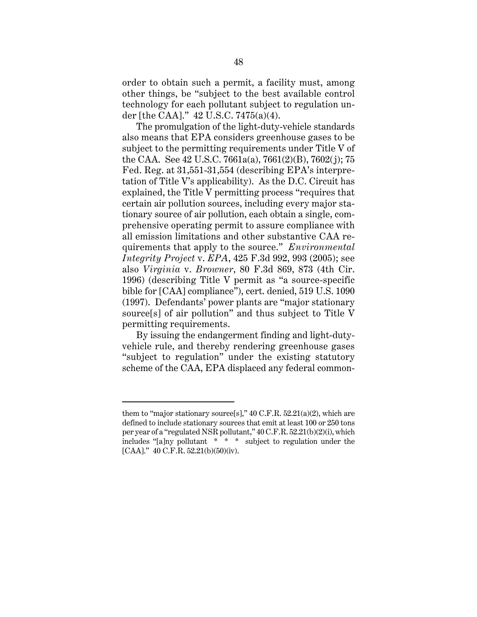order to obtain such a permit, a facility must, among other things, be "subject to the best available control technology for each pollutant subject to regulation under [the CAA]." 42 U.S.C. 7475(a)(4).

The promulgation of the light-duty-vehicle standards also means that EPA considers greenhouse gases to be subject to the permitting requirements under Title V of the CAA. See 42 U.S.C. 7661a(a), 7661(2)(B), 7602(j); 75 Fed. Reg. at 31,551-31,554 (describing EPA's interpretation of Title V's applicability). As the D.C. Circuit has explained, the Title V permitting process "requires that certain air pollution sources, including every major stationary source of air pollution, each obtain a single, comprehensive operating permit to assure compliance with all emission limitations and other substantive CAA requirements that apply to the source." *Environmental Integrity Project* v. *EPA*, 425 F.3d 992, 993 (2005); see also *Virginia* v. *Browner*, 80 F.3d 869, 873 (4th Cir. 1996) (describing Title V permit as "a source-specific bible for [CAA] compliance"), cert. denied, 519 U.S. 1090 (1997). Defendants' power plants are "major stationary source[s] of air pollution" and thus subject to Title V permitting requirements.

By issuing the endangerment finding and light-dutyvehicle rule, and thereby rendering greenhouse gases "subject to regulation" under the existing statutory scheme of the CAA, EPA displaced any federal common-

them to "major stationary source[s],"  $40$  C.F.R.  $52.21(a)(2)$ , which are defined to include stationary sources that emit at least 100 or 250 tons per year of a "regulated NSR pollutant," 40 C.F.R. 52.21(b)(2)(i), which includes "[a]ny pollutant \* \* \* subject to regulation under the [CAA]." 40 C.F.R. 52.21(b)(50)(iv).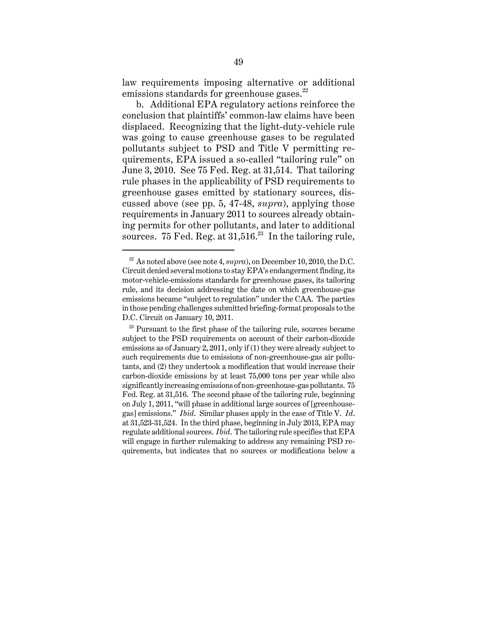law requirements imposing alternative or additional emissions standards for greenhouse gases. $^{22}$ 

b. Additional EPA regulatory actions reinforce the conclusion that plaintiffs' common-law claims have been displaced. Recognizing that the light-duty-vehicle rule was going to cause greenhouse gases to be regulated pollutants subject to PSD and Title V permitting requirements, EPA issued a so-called "tailoring rule" on June 3, 2010. See 75 Fed. Reg. at 31,514. That tailoring rule phases in the applicability of PSD requirements to greenhouse gases emitted by stationary sources, discussed above (see pp. 5, 47-48, *supra*), applying those requirements in January 2011 to sources already obtaining permits for other pollutants, and later to additional sources. 75 Fed. Reg. at  $31.516^{23}$  In the tailoring rule,

<sup>&</sup>lt;sup>22</sup> As noted above (see note 4, *supra*), on December 10, 2010, the D.C. Circuit denied several motions to stay EPA's endangerment finding, its motor-vehicle-emissions standards for greenhouse gases, its tailoring rule, and its decision addressing the date on which greenhouse-gas emissions became "subject to regulation" under the CAA. The parties in those pending challenges submitted briefing-format proposals to the D.C. Circuit on January 10, 2011.

 $23$  Pursuant to the first phase of the tailoring rule, sources became subject to the PSD requirements on account of their carbon-dioxide emissions as of January 2, 2011, only if (1) they were already subject to such requirements due to emissions of non-greenhouse-gas air pollutants, and (2) they undertook a modification that would increase their carbon-dioxide emissions by at least 75,000 tons per year while also significantly increasing emissions of non-greenhouse-gas pollutants. 75 Fed. Reg. at 31,516. The second phase of the tailoring rule, beginning on July 1, 2011, "will phase in additional large sources of [greenhousegas] emissions." *Ibid*. Similar phases apply in the case of Title V. *Id*. at 31,523-31,524. In the third phase, beginning in July 2013, EPA may regulate additional sources. *Ibid*. The tailoring rule specifies that EPA will engage in further rulemaking to address any remaining PSD requirements, but indicates that no sources or modifications below a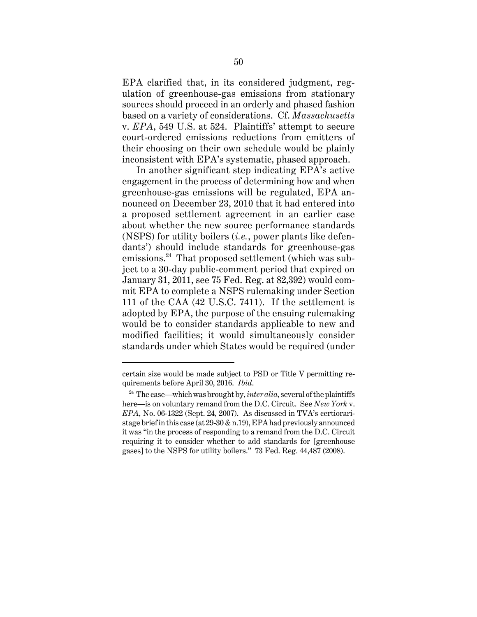EPA clarified that, in its considered judgment, regulation of greenhouse-gas emissions from stationary sources should proceed in an orderly and phased fashion based on a variety of considerations. Cf. *Massachusetts* v. *EPA*, 549 U.S. at 524. Plaintiffs' attempt to secure court-ordered emissions reductions from emitters of their choosing on their own schedule would be plainly inconsistent with EPA's systematic, phased approach.

In another significant step indicating EPA's active engagement in the process of determining how and when greenhouse-gas emissions will be regulated, EPA announced on December 23, 2010 that it had entered into a proposed settlement agreement in an earlier case about whether the new source performance standards (NSPS) for utility boilers (*i.e.*, power plants like defendants') should include standards for greenhouse-gas emissions.<sup>24</sup> That proposed settlement (which was subject to a 30-day public-comment period that expired on January 31, 2011, see 75 Fed. Reg. at 82,392) would commit EPA to complete a NSPS rulemaking under Section 111 of the CAA (42 U.S.C. 7411). If the settlement is adopted by EPA, the purpose of the ensuing rulemaking would be to consider standards applicable to new and modified facilities; it would simultaneously consider standards under which States would be required (under

certain size would be made subject to PSD or Title V permitting requirements before April 30, 2016. *Ibid*.

<sup>&</sup>lt;sup>24</sup> The case—which was brought by, *inter alia*, several of the plaintiffs here—is on voluntary remand from the D.C. Circuit. See *New York* v. *EPA*, No. 06-1322 (Sept. 24, 2007). As discussed in TVA's certioraristage brief in this case (at 29-30 & n.19), EPA had previously announced it was "in the process of responding to a remand from the D.C. Circuit requiring it to consider whether to add standards for [greenhouse gases] to the NSPS for utility boilers." 73 Fed. Reg. 44,487 (2008).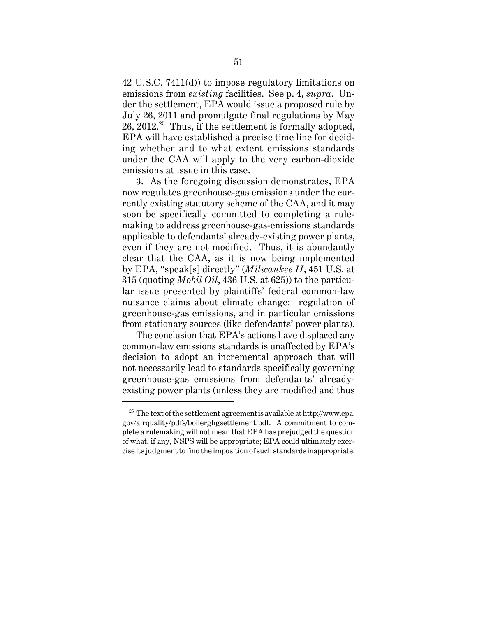42 U.S.C. 7411(d)) to impose regulatory limitations on emissions from *existing* facilities. See p. 4, *supra*. Under the settlement, EPA would issue a proposed rule by July 26, 2011 and promulgate final regulations by May 26, 2012.<sup>25</sup> Thus, if the settlement is formally adopted, EPA will have established a precise time line for deciding whether and to what extent emissions standards under the CAA will apply to the very carbon-dioxide emissions at issue in this case.

3. As the foregoing discussion demonstrates, EPA now regulates greenhouse-gas emissions under the currently existing statutory scheme of the CAA, and it may soon be specifically committed to completing a rulemaking to address greenhouse-gas-emissions standards applicable to defendants' already-existing power plants, even if they are not modified. Thus, it is abundantly clear that the CAA, as it is now being implemented by EPA, "speak[s] directly" (*Milwaukee II*, 451 U.S. at 315 (quoting *Mobil Oil*, 436 U.S. at 625)) to the particular issue presented by plaintiffs' federal common-law nuisance claims about climate change: regulation of greenhouse-gas emissions, and in particular emissions from stationary sources (like defendants' power plants).

The conclusion that EPA's actions have displaced any common-law emissions standards is unaffected by EPA's decision to adopt an incremental approach that will not necessarily lead to standards specifically governing greenhouse-gas emissions from defendants' alreadyexisting power plants (unless they are modified and thus

 $25$  The text of the settlement agreement is available at http://www.epa. gov/airquality/pdfs/boilerghgsettlement.pdf. A commitment to complete a rulemaking will not mean that EPA has prejudged the question of what, if any, NSPS will be appropriate; EPA could ultimately exercise its judgment to find the imposition of such standards inappropriate.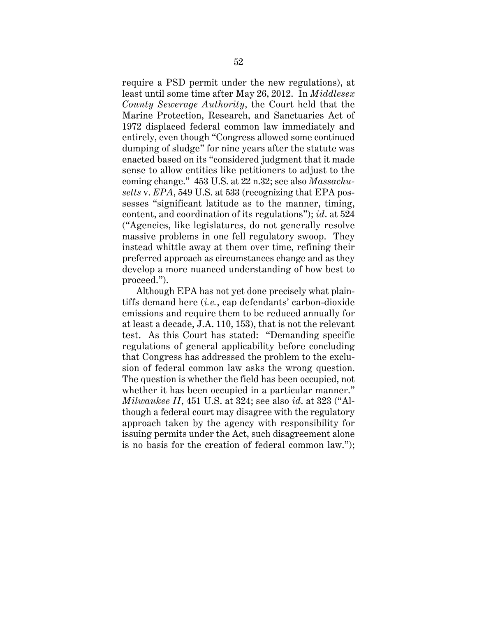require a PSD permit under the new regulations), at least until some time after May 26, 2012. In *Middlesex County Sewerage Authority*, the Court held that the Marine Protection, Research, and Sanctuaries Act of 1972 displaced federal common law immediately and entirely, even though "Congress allowed some continued dumping of sludge" for nine years after the statute was enacted based on its "considered judgment that it made sense to allow entities like petitioners to adjust to the coming change." 453 U.S. at 22 n.32; see also *Massachusetts* v. *EPA*, 549 U.S. at 533 (recognizing that EPA possesses "significant latitude as to the manner, timing, content, and coordination of its regulations"); *id*. at 524 ("Agencies, like legislatures, do not generally resolve massive problems in one fell regulatory swoop. They instead whittle away at them over time, refining their preferred approach as circumstances change and as they develop a more nuanced understanding of how best to proceed.").

Although EPA has not yet done precisely what plaintiffs demand here (*i.e.*, cap defendants' carbon-dioxide emissions and require them to be reduced annually for at least a decade, J.A. 110, 153), that is not the relevant test. As this Court has stated: "Demanding specific regulations of general applicability before concluding that Congress has addressed the problem to the exclusion of federal common law asks the wrong question. The question is whether the field has been occupied, not whether it has been occupied in a particular manner." *Milwaukee II*, 451 U.S. at 324; see also *id*. at 323 ("Although a federal court may disagree with the regulatory approach taken by the agency with responsibility for issuing permits under the Act, such disagreement alone is no basis for the creation of federal common law.");